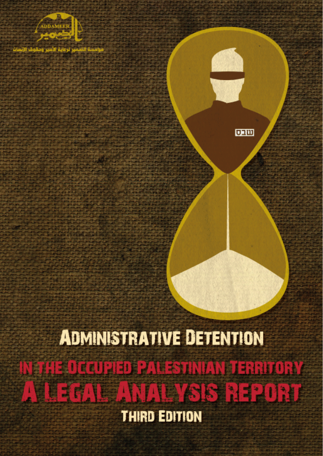

**ADMINISTRATIVE DETENTION** N THE DECUPIED PALESTINIAN TERRITORY **THE FILE IN THE TABS REPORT** 

页画

**THIRD EDITION**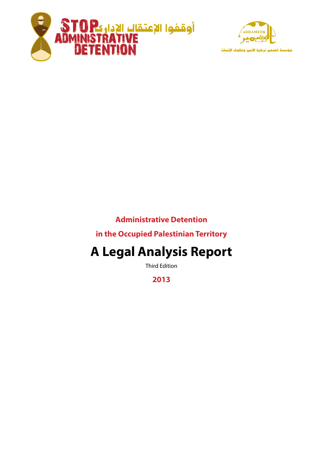



# **Administrative Detention**

**In the Occupied Palestinian Territory** 

# **A Legal Analysis Report**

**Third Edition** 

**2013**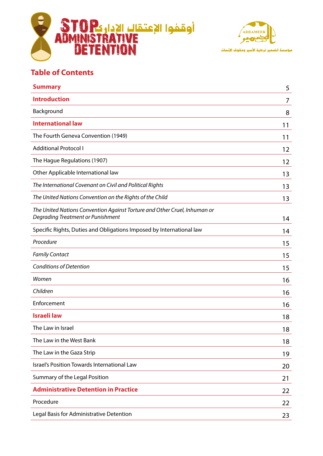



# **Table of Contents**

| <b>Introduction</b><br>Background<br><b>International law</b><br>The Fourth Geneva Convention (1949)<br><b>Additional Protocol I</b><br>The Hague Regulations (1907)<br>Other Applicable International law<br>The International Covenant on Civil and Political Rights<br>The United Nations Convention on the Rights of the Child<br>The United Nations Convention Against Torture and Other Cruel, Inhuman or<br>Degrading Treatment or Punishment<br>Specific Rights, Duties and Obligations Imposed by International law<br>Procedure<br><b>Family Contact</b> | 7<br>8<br>11 |
|--------------------------------------------------------------------------------------------------------------------------------------------------------------------------------------------------------------------------------------------------------------------------------------------------------------------------------------------------------------------------------------------------------------------------------------------------------------------------------------------------------------------------------------------------------------------|--------------|
|                                                                                                                                                                                                                                                                                                                                                                                                                                                                                                                                                                    |              |
|                                                                                                                                                                                                                                                                                                                                                                                                                                                                                                                                                                    |              |
|                                                                                                                                                                                                                                                                                                                                                                                                                                                                                                                                                                    |              |
|                                                                                                                                                                                                                                                                                                                                                                                                                                                                                                                                                                    | 11           |
|                                                                                                                                                                                                                                                                                                                                                                                                                                                                                                                                                                    | 12           |
|                                                                                                                                                                                                                                                                                                                                                                                                                                                                                                                                                                    | 12           |
|                                                                                                                                                                                                                                                                                                                                                                                                                                                                                                                                                                    | 13           |
|                                                                                                                                                                                                                                                                                                                                                                                                                                                                                                                                                                    | 13           |
|                                                                                                                                                                                                                                                                                                                                                                                                                                                                                                                                                                    | 13           |
|                                                                                                                                                                                                                                                                                                                                                                                                                                                                                                                                                                    | 14           |
|                                                                                                                                                                                                                                                                                                                                                                                                                                                                                                                                                                    | 14           |
|                                                                                                                                                                                                                                                                                                                                                                                                                                                                                                                                                                    | 15           |
|                                                                                                                                                                                                                                                                                                                                                                                                                                                                                                                                                                    | 15           |
| <b>Conditions of Detention</b>                                                                                                                                                                                                                                                                                                                                                                                                                                                                                                                                     | 15           |
| Women                                                                                                                                                                                                                                                                                                                                                                                                                                                                                                                                                              | 16           |
| Children                                                                                                                                                                                                                                                                                                                                                                                                                                                                                                                                                           | 16           |
| Enforcement                                                                                                                                                                                                                                                                                                                                                                                                                                                                                                                                                        | 16           |
| <b>Israeli law</b>                                                                                                                                                                                                                                                                                                                                                                                                                                                                                                                                                 | 18           |
| The Law in Israel                                                                                                                                                                                                                                                                                                                                                                                                                                                                                                                                                  | 18           |
| The Law in the West Bank                                                                                                                                                                                                                                                                                                                                                                                                                                                                                                                                           | 18           |
| The Law in the Gaza Strip                                                                                                                                                                                                                                                                                                                                                                                                                                                                                                                                          | 19           |
| Israel's Position Towards International Law                                                                                                                                                                                                                                                                                                                                                                                                                                                                                                                        | 20           |
| Summary of the Legal Position                                                                                                                                                                                                                                                                                                                                                                                                                                                                                                                                      | 21           |
| <b>Administrative Detention in Practice</b>                                                                                                                                                                                                                                                                                                                                                                                                                                                                                                                        | 22           |
| Procedure                                                                                                                                                                                                                                                                                                                                                                                                                                                                                                                                                          | 22           |
| Legal Basis for Administrative Detention                                                                                                                                                                                                                                                                                                                                                                                                                                                                                                                           | 23           |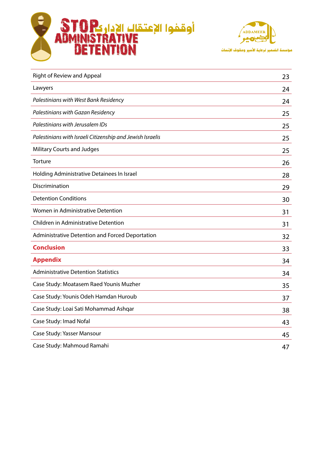



مؤسسة الضمير لرعاية الأسير وحقوق الإنساث

| <b>Right of Review and Appeal</b>                         | 23 |
|-----------------------------------------------------------|----|
| Lawyers                                                   | 24 |
| Palestinians with West Bank Residency                     | 24 |
| Palestinians with Gazan Residency                         | 25 |
| Palestinians with Jerusalem IDs                           | 25 |
| Palestinians with Israeli Citizenship and Jewish Israelis | 25 |
| <b>Military Courts and Judges</b>                         | 25 |
| Torture                                                   | 26 |
| Holding Administrative Detainees In Israel                | 28 |
| Discrimination                                            | 29 |
| <b>Detention Conditions</b>                               | 30 |
| Women in Administrative Detention                         | 31 |
| Children in Administrative Detention                      | 31 |
| Administrative Detention and Forced Deportation           | 32 |
| <b>Conclusion</b>                                         | 33 |
| <b>Appendix</b>                                           | 34 |
| <b>Administrative Detention Statistics</b>                | 34 |
| Case Study: Moatasem Raed Younis Muzher                   | 35 |
| Case Study: Younis Odeh Hamdan Huroub                     | 37 |
| Case Study: Loai Sati Mohammad Ashqar                     | 38 |
| Case Study: Imad Nofal                                    | 43 |
| Case Study: Yasser Mansour                                | 45 |
| Case Study: Mahmoud Ramahi                                | 47 |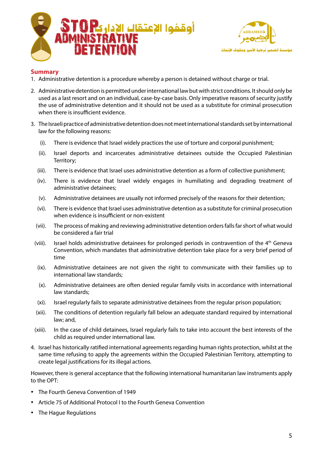



## **Summary**

- 1. Administrative detention is a procedure whereby a person is detained without charge or trial.
- 2. Administrative detention is permitted under international law but with strict conditions. It should only be used as a last resort and on an individual, case-by-case basis. Only imperative reasons of security justify the use of administrative detention and it should not be used as a substitute for criminal prosecution when there is insufficient evidence.
- 3. The Israeli practice of administrative detention does not meet international standards set by international law for the following reasons:
	- (i). There is evidence that Israel widely practices the use of torture and corporal punishment;
	- (ii). Israel deports and incarcerates administrative detainees outside the Occupied Palestinian Territory;
	- (iii). There is evidence that Israel uses administrative detention as a form of collective punishment;
	- (iv). There is evidence that Israel widely engages in humiliating and degrading treatment of administrative detainees;
	- (v). Administrative detainees are usually not informed precisely of the reasons for their detention;
	- (vi). There is evidence that Israel uses administrative detention as a substitute for criminal prosecution when evidence is insufficient or non-existent
	- (vii). The process of making and reviewing administrative detention orders falls far short of what would be considered a fair trial
	- (viii). Israel holds administrative detainees for prolonged periods in contravention of the  $4<sup>th</sup>$  Geneva Convention, which mandates that administrative detention take place for a very brief period of time
	- $(ix)$ . Administrative detainees are not given the right to communicate with their families up to international law standards;
	- (x). Administrative detainees are often denied regular family visits in accordance with international law standards:
	- (xi). Israel regularly fails to separate administrative detainees from the regular prison population;
	- (xii). The conditions of detention reqularly fall below an adequate standard required by international law: and,
	- (xiii). In the case of child detainees, Israel regularly fails to take into account the best interests of the child as required under international law.
- 4. Israel has historically ratified international agreements regarding human rights protection, whilst at the same time refusing to apply the agreements within the Occupied Palestinian Territory, attempting to create legal justifications for its illegal actions.

However, there is general acceptance that the following international humanitarian law instruments apply to the OPT:

- The Fourth Geneva Convention of 1949
- Article 75 of Additional Protocol I to the Fourth Geneva Convention
- The Hague Regulations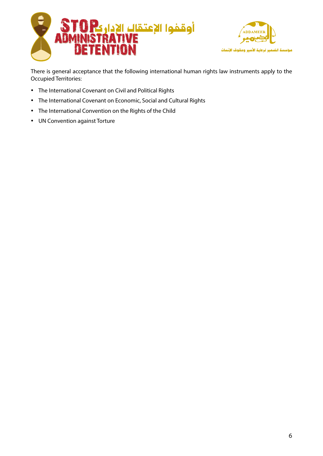



There is general acceptance that the following international human rights law instruments apply to the Occupied Territories:

- The International Covenant on Civil and Political Rights
- The International Covenant on Economic, Social and Cultural Rights
- The International Convention on the Rights of the Child
- UN Convention against Torture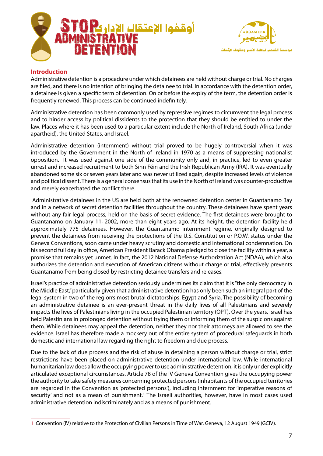



## **Introduction**

Administrative detention is a procedure under which detainees are held without charge or trial. No charges are filed, and there is no intention of bringing the detainee to trial. In accordance with the detention order, a detainee is given a specific term of detention. On or before the expiry of the term, the detention order is frequently renewed. This process can be continued indefinitely.

Administrative detention has been commonly used by repressive regimes to circumvent the legal process and to hinder access by political dissidents to the protection that they should be entitled to under the law. Places where it has been used to a particular extent include the North of Ireland, South Africa (under apartheid), the United States, and Israel.

Administrative detention (internment) without trial proved to be hugely controversial when it was introduced by the Government in the North of Ireland in 1970 as a means of suppressing nationalist opposition. It was used against one side of the community only and, in practice, led to even greater unrest and increased recruitment to both Sinn Féin and the Irish Republican Army (IRA). It was eventually abandoned some six or seven years later and was never utilized again, despite increased levels of violence and political dissent. There is a general consensus that its use in the North of Ireland was counter-productive and merely exacerbated the conflict there.

Administrative detainees in the US are held both at the renowned detention center in Guantanamo Bay and in a network of secret detention facilities throughout the country. These detainees have spent years without any fair legal process, held on the basis of secret evidence. The first detainees were brought to Guantanamo on January 11, 2002, more than eight years ago. At its height, the detention facility held approximately 775 detainees. However, the Guantanamo internment regime, originally designed to prevent the detainees from receiving the protections of the U.S. Constitution or P.O.W. status under the Geneva Conventions, soon came under heavy scrutiny and domestic and international condemnation. On his second full day in office, American President Barack Obama pledged to close the facility within a year, a promise that remains yet unmet. In fact, the 2012 National Defense Authorization Act (NDAA), which also authorizes the detention and execution of American citizens without charge or trial, effectively prevents Guantanamo from being closed by restricting detainee transfers and releases.

Israel's practice of administrative detention seriously undermines its claim that it is "the only democracy in the Middle East," particularly given that administrative detention has only been such an integral part of the legal system in two of the region's most brutal dictatorships: Egypt and Syria. The possibility of becoming an administrative detainee is an ever-present threat in the daily lives of all Palestinians and severely impacts the lives of Palestinians living in the occupied Palestinian territory (OPT). Over the years, Israel has held Palestinians in prolonged detention without trying them or informing them of the suspicions against them. While detainees may appeal the detention, neither they nor their attorneys are allowed to see the evidence. Israel has therefore made a mockery out of the entire system of procedural safeguards in both domestic and international law regarding the right to freedom and due process.

Due to the lack of due process and the risk of abuse in detaining a person without charge or trial, strict restrictions have been placed on administrative detention under international law. While international humanitarian law does allow the occupying power to use administrative detention, it is only under explicitly articulated exceptional circumstances. Article 78 of the IV Geneva Convention gives the occupying power the authority to take safety measures concerning protected persons (inhabitants of the occupied territories are regarded in the Convention as 'protected persons'), including internment for 'imperative reasons of security' and not as a mean of punishment.<sup>1</sup> The Israeli authorities, however, have in most cases used administrative detention indiscriminately and as a means of punishment.

<sup>1</sup> Convention (IV) relative to the Protection of Civilian Persons in Time of War. Geneva, 12 August 1949 (GCIV).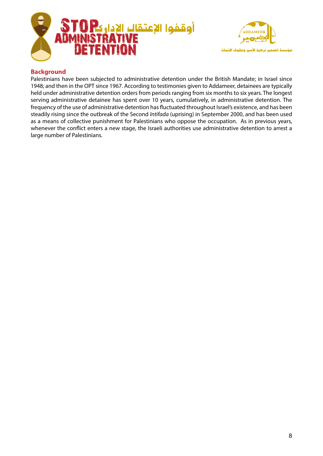



## **Background**

Palestinians have been subjected to administrative detention under the British Mandate; in Israel since 1948; and then in the OPT since 1967. According to testimonies given to Addameer, detainees are typically held under administrative detention orders from periods ranging from six months to six years. The longest serving administrative detainee has spent over 10 years, cumulatively, in administrative detention. The frequency of the use of administrative detention has fluctuated throughout Israel's existence, and has been steadily rising since the outbreak of the Second Intifada (uprising) in September 2000, and has been used as a means of collective punishment for Palestinians who oppose the occupation. As in previous years, whenever the conflict enters a new stage, the Israeli authorities use administrative detention to arrest a large number of Palestinians.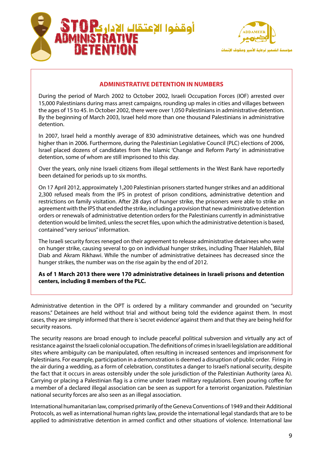



## **ADMINISTRATIVE DETENTION IN NUMBERS**

During the period of March 2002 to October 2002, Israeli Occupation Forces (IOF) arrested over 15,000 Palestinians during mass arrest campaigns, rounding up males in cities and villages between the ages of 15 to 45. In October 2002, there were over 1,050 Palestinians in administrative detention. By the beginning of March 2003, Israel held more than one thousand Palestinians in administrative detention.

In 2007, Israel held a monthly average of 830 administrative detainees, which was one hundred higher than in 2006. Furthermore, during the Palestinian Legislative Council (PLC) elections of 2006, Israel placed dozens of candidates from the Islamic 'Change and Reform Party' in administrative detention, some of whom are still imprisoned to this day.

Over the years, only nine Israeli citizens from illegal settlements in the West Bank have reportedly been detained for periods up to six months.

On 17 April 2012, approximately 1,200 Palestinian prisoners started hunger strikes and an additional 2,300 refused meals from the IPS in protest of prison conditions, administrative detention and restrictions on family visitation. After 28 days of hunger strike, the prisoners were able to strike an agreement with the IPS that ended the strike, including a provision that new administrative detention orders or renewals of administrative detention orders for the Palestinians currently in administrative detention would be limited, unless the secret files, upon which the administrative detention is based, contained "very serious" information.

The Israeli security forces reneged on their agreement to release administrative detainees who were on hunger strike, causing several to go on individual hunger strikes, including Thaer Halahleh, Bilal Diab and Akram Rikhawi. While the number of administrative detainees has decreased since the hunger strikes, the number was on the rise again by the end of 2012.

#### As of 1 March 2013 there were 170 administrative detainees in Israeli prisons and detention centers, including 8 members of the PLC.

Administrative detention in the OPT is ordered by a military commander and grounded on "security reasons." Detainees are held without trial and without being told the evidence against them. In most cases, they are simply informed that there is 'secret evidence' against them and that they are being held for security reasons.

The security reasons are broad enough to include peaceful political subversion and virtually any act of resistance against the Israeli colonial occupation. The definitions of crimes in Israeli legislation are additional sites where ambiguity can be manipulated, often resulting in increased sentences and imprisonment for Palestinians. For example, participation in a demonstration is deemed a disruption of public order. Firing in the air during a wedding, as a form of celebration, constitutes a danger to Israel's national security, despite the fact that it occurs in areas ostensibly under the sole jurisdiction of the Palestinian Authority (area A). Carrying or placing a Palestinian flag is a crime under Israeli military regulations. Even pouring coffee for a member of a declared illegal association can be seen as support for a terrorist organization. Palestinian national security forces are also seen as an illegal association.

International humanitarian law, comprised primarily of the Geneva Conventions of 1949 and their Additional Protocols, as well as international human rights law, provide the international legal standards that are to be applied to administrative detention in armed conflict and other situations of violence. International law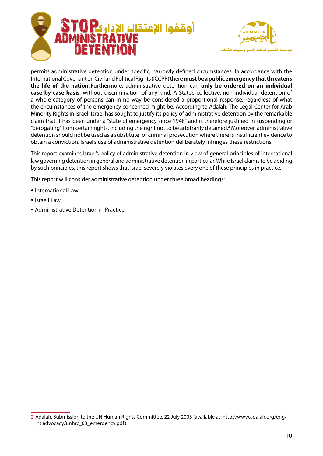



permits administrative detention under specific, narrowly defined circumstances. In accordance with the International Covenant on Civil and Political Rights (ICCPR) there **must be a public emergency that threatens** the life of the nation. Furthermore, administrative detention can only be ordered on an individual case-by-case basis, without discrimination of any kind. A State's collective, non-individual detention of a whole category of persons can in no way be considered a proportional response, regardless of what the circumstances of the emergency concerned might be. According to Adalah: The Legal Center for Arab Minority Rights in Israel, Israel has sought to justify its policy of administrative detention by the remarkable claim that it has been under a "state of emergency since 1948" and is therefore justified in suspending or "derogating" from certain rights, including the right not to be arbitrarily detained.<sup>2</sup> Moreover, administrative detention should not be used as a substitute for criminal prosecution where there is insufficient evidence to obtain a conviction. Israel's use of administrative detention deliberately infringes these restrictions.

This report examines Israel's policy of administrative detention in view of general principles of international law governing detention in general and administrative detention in particular. While Israel claims to be abiding by such principles, this report shows that Israel severely violates every one of these principles in practice.

This report will consider administrative detention under three broad headings:

- International Law
- Israeli Law
- Administrative Detention in Practice

<sup>2</sup> Adalah, Submission to the UN Human Rights Committee, 22 July 2003 (available at: http://www.adalah.org/eng/ intladvocacy/unhrc\_03\_emergency.pdf).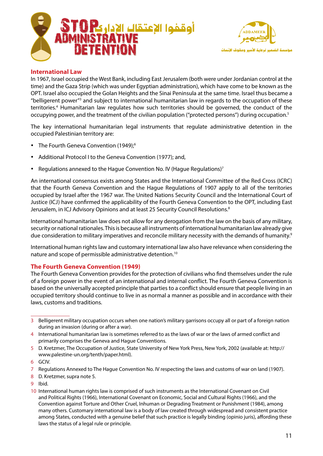



## **International Law**

In 1967, Israel occupied the West Bank, including East Jerusalem (both were under Jordanian control at the time) and the Gaza Strip (which was under Egyptian administration), which have come to be known as the OPT. Israel also occupied the Golan Heights and the Sinai Peninsula at the same time. Israel thus became a "belligerent power"<sup>3</sup> and subject to international humanitarian law in regards to the occupation of these territories.<sup>4</sup> Humanitarian law regulates how such territories should be governed, the conduct of the occupying power, and the treatment of the civilian population ("protected persons") during occupation.<sup>5</sup>

The key international humanitarian legal instruments that regulate administrative detention in the occupied Palestinian territory are:

- The Fourth Geneva Convention (1949):<sup>6</sup>
- Additional Protocol I to the Geneva Convention (1977): and.
- Regulations annexed to the Hague Convention No. IV (Hague Regulations)<sup>7</sup>

An international consensus exists among States and the International Committee of the Red Cross (ICRC) that the Fourth Geneva Convention and the Hague Regulations of 1907 apply to all of the territories occupied by Israel after the 1967 war. The United Nations Security Council and the International Court of Justice (ICJ) have confirmed the applicability of the Fourth Geneva Convention to the OPT, including East Jerusalem, in ICJ Advisory Opinions and at least 25 Security Council Resolutions.<sup>8</sup>

International humanitarian law does not allow for any derogation from the law on the basis of any military, security or national rationales. This is because all instruments of international humanitarian law already give due consideration to military imperatives and reconcile military necessity with the demands of humanity.<sup>9</sup>

International human rights law and customary international law also have relevance when considering the nature and scope of permissible administrative detention.<sup>10</sup>

## **The Fourth Geneva Convention (1949)**

The Fourth Geneva Convention provides for the protection of civilians who find themselves under the rule of a foreign power in the event of an international and internal conflict. The Fourth Geneva Convention is based on the universally accepted principle that parties to a conflict should ensure that people living in an occupied territory should continue to live in as normal a manner as possible and in accordance with their laws, customs and traditions.

- 5 D. Kretzmer, The Occupation of Justice, State University of New York Press, New York, 2002 (available at: http:// www.palestine-un.org/tenth/paper.html).
- 6 GCIV.
- 7 Regulations Annexed to The Hague Convention No. IV respecting the laws and customs of war on land (1907).
- 8 D. Kretzmer, supra note 5.
- .Ibid 9

<sup>3</sup> Belligerent military occupation occurs when one nation's military garrisons occupy all or part of a foreign nation during an invasion (during or after a war).

<sup>4</sup> International humanitarian law is sometimes referred to as the laws of war or the laws of armed conflict and primarily comprises the Geneva and Hague Conventions.

<sup>10</sup> International human rights law is comprised of such instruments as the International Covenant on Civil and Political Rights (1966), International Covenant on Economic, Social and Cultural Rights (1966), and the Convention against Torture and Other Cruel, Inhuman or Degrading Treatment or Punishment (1984), among many others. Customary international law is a body of law created through widespread and consistent practice among States, conducted with a genuine belief that such practice is legally binding (opinio juris), affording these laws the status of a legal rule or principle.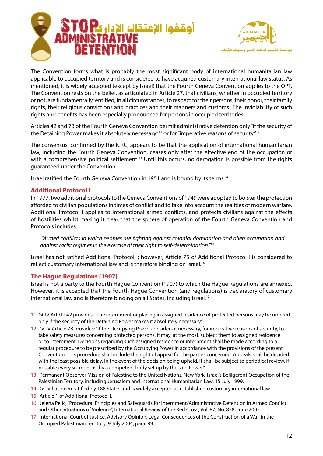



The Convention forms what is probably the most significant body of international humanitarian law applicable to occupied territory and is considered to have acquired customary international law status. As mentioned, it is widely accepted (except by Israel) that the Fourth Geneva Convention applies to the OPT. The Convention rests on the belief, as articulated in Article 27, that civilians, whether in occupied territory or not, are fundamentally "entitled, in all circumstances, to respect for their persons, their honor, their family rights, their religious convictions and practices and their manners and customs." The inviolability of such rights and benefits has been especially pronounced for persons in occupied territories.

Articles 42 and 78 of the Fourth Geneva Convention permit administrative detention only "if the security of the Detaining Power makes it absolutely necessary"<sup>11</sup> or for "imperative reasons of security."<sup>12</sup>

The consensus, confirmed by the ICRC, appears to be that the application of international humanitarian law, including the Fourth Geneva Convention, ceases only after the effective end of the occupation or with a comprehensive political settlement.<sup>13</sup> Until this occurs, no derogation is possible from the rights guaranteed under the Convention.

Israel ratified the Fourth Geneva Convention in 1951 and is bound by its terms.<sup>14</sup>

#### **Additional Protocol I**

In 1977, two additional protocols to the Geneva Conventions of 1949 were adopted to bolster the protection afforded to civilian populations in times of conflict and to take into account the realities of modern warfare. Additional Protocol I applies to international armed conflicts, and protects civilians against the effects of hostilities whilst making it clear that the sphere of operation of the Fourth Geneva Convention and Protocols includes:

*Armed conflicts in which peoples are fighting against colonial domination and alien occupation and* against racist regimes in the exercise of their right to self-determination.<sup>"15</sup>

Israel has not ratified Additional Protocol I; however, Article 75 of Additional Protocol I is considered to reflect customary international law and is therefore binding on Israel.<sup>16</sup>

#### **The Hague Regulations (1907)**

Israel is not a party to the Fourth Hague Convention (1907) to which the Hague Regulations are annexed. However, it is accepted that the Fourth Hague Convention (and regulations) is declaratory of customary international law and is therefore binding on all States, including Israel.<sup>17</sup>

- 13 Permanent Observer Mission of Palestine to the United Nations, New York, Israel's Belligerent Occupation of the Palestinian Territory, including Jerusalem and International Humanitarian Law, 15 July 1999.
- 14 GCIV has been ratified by 188 States and is widely accepted as established customary international law.
- 15 Article 1 of Additional Protocol I.
- 16 Jelena Pejic, "Procedural Principles and Safeguards for Internment/Administrative Detention in Armed Conflict and Other Situations of Violence", International Review of the Red Cross, Vol. 87, No. 858, June 2005.
- 17 International Court of Justice, Advisory Opinion, Legal Consequences of the Construction of a Wall in the Occupied Palestinian Territory, 9 July 2004, para. 89.

<sup>11</sup> GCIV Article 42 provides: "The internment or placing in assigned residence of protected persons may be ordered only if the security of the Detaining Power makes it absolutely necessary."

<sup>12</sup> GCIV Article 78 provides: "If the Occupying Power considers it necessary, for imperative reasons of security, to take safety measures concerning protected persons, it may, at the most, subject them to assigned residence or to internment. Decisions regarding such assigned residence or internment shall be made according to a regular procedure to be prescribed by the Occupying Power in accordance with the provisions of the present Convention. This procedure shall include the right of appeal for the parties concerned. Appeals shall be decided with the least possible delay. In the event of the decision being upheld, it shall be subject to periodical review, if possible every six months, by a competent body set up by the said Power."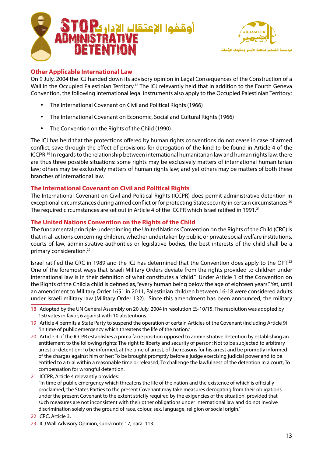



## **Other Applicable International Law**

On 9 July, 2004 the ICJ handed down its advisory opinion in Legal Consequences of the Construction of a Wall in the Occupied Palestinian Territory.<sup>18</sup> The ICJ relevantly held that in addition to the Fourth Geneva Convention, the following international legal instruments also apply to the Occupied Palestinian Territory:

- The International Covenant on Civil and Political Rights (1966)
- The International Covenant on Economic, Social and Cultural Rights (1966)
- The Convention on the Rights of the Child (1990)

The ICJ has held that the protections offered by human rights conventions do not cease in case of armed conflict, save through the effect of provisions for derogation of the kind to be found in Article 4 of the ICCPR.<sup>19</sup> In regards to the relationship between international humanitarian law and human rights law, there are thus three possible situations: some rights may be exclusively matters of international humanitarian law; others may be exclusively matters of human rights law; and yet others may be matters of both these branches of international law.

#### **The International Covenant on Civil and Political Rights**

The International Covenant on Civil and Political Rights (ICCPR) does permit administrative detention in exceptional circumstances during armed conflict or for protecting State security in certain circumstances.<sup>20</sup> The required circumstances are set out in Article 4 of the ICCPR which Israel ratified in 1991.<sup>21</sup>

#### **The United Nations Convention on the Rights of the Child**

The fundamental principle underpinning the United Nations Convention on the Rights of the Child (CRC) is that in all actions concerning children, whether undertaken by public or private social welfare institutions, courts of law, administrative authorities or legislative bodies, the best interests of the child shall be a primary consideration.<sup>22</sup>

Israel ratified the CRC in 1989 and the ICJ has determined that the Convention does apply to the OPT.<sup>23</sup> One of the foremost ways that Israeli Military Orders deviate from the rights provided to children under international law is in their definition of what constitutes a "child." Under Article 1 of the Convention on the Rights of the Child a child is defined as, "every human being below the age of eighteen years." Yet, until an amendment to Military Order 1651 in 2011, Palestinian children between 16-18 were considered adults under Israeli military law (Military Order 132). Since this amendment has been announced, the military

- 18 Adopted by the UN General Assembly on 20 July, 2004 in resolution ES-10/15. The resolution was adopted by 150 votes in favor, 6 against with 10 abstentions.
- 19 Article 4 permits a State Party to suspend the operation of certain Articles of the Covenant (including Article 9) "in time of public emergency which threatens the life of the nation."
- 20 Article 9 of the ICCPR establishes a prima facie position opposed to administrative detention by establishing an entitlement to the following rights: The right to liberty and security of person; Not to be subjected to arbitrary arrest or detention; To be informed, at the time of arrest, of the reasons for his arrest and be promptly informed of the charges against him or her; To be brought promptly before a judge exercising judicial power and to be entitled to a trial within a reasonable time or released; To challenge the lawfulness of the detention in a court; To compensation for wrongful detention.
- 21 ICCPR, Article 4 relevantly provides:

"In time of public emergency which threatens the life of the nation and the existence of which is officially proclaimed, the States Parties to the present Covenant may take measures derogating from their obligations under the present Covenant to the extent strictly required by the exigencies of the situation, provided that such measures are not inconsistent with their other obligations under international law and do not involve discrimination solely on the ground of race, colour, sex, language, religion or social origin."

- 22 CRC, Article 3.
- 23 ICJ Wall Advisory Opinion, supra note 17, para. 113.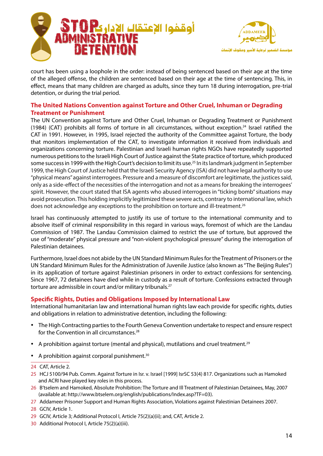



court has been using a loophole in the order: instead of being sentenced based on their age at the time of the alleged offense, the children are sentenced based on their age at the time of sentencing. This, in effect, means that many children are charged as adults, since they turn 18 during interrogation, pre-trial detention, or during the trial period.

## **The United Nations Convention against Torture and Other Cruel, Inhuman or Degrading Treatment or Punishment**

The UN Convention against Torture and Other Cruel, Inhuman or Degrading Treatment or Punishment (1984) (CAT) prohibits all forms of torture in all circumstances, without exception.<sup>24</sup> Israel ratified the CAT in 1991. However, in 1995, Israel rejected the authority of the Committee against Torture, the body that monitors implementation of the CAT, to investigate information it received from individuals and organizations concerning torture. Palestinian and Israeli human rights NGOs have repeatedly supported numerous petitions to the Israeli High Court of Justice against the State practice of torture, which produced some success in 1999 with the High Court's decision to limit its use.<sup>25</sup> In its landmark judgment in September 1999, the High Court of Justice held that the Israeli Security Agency (ISA) did not have legal authority to use "physical means" against interrogees. Pressure and a measure of discomfort are legitimate, the justices said, only as a side-effect of the necessities of the interrogation and not as a means for breaking the interrogees' spirit. However, the court stated that ISA agents who abused interrogees in "ticking bomb" situations may avoid prosecution. This holding implicitly legitimized these severe acts, contrary to international law, which does not acknowledge any exceptions to the prohibition on torture and ill-treatment.<sup>26</sup>

Israel has continuously attempted to justify its use of torture to the international community and to absolve itself of criminal responsibility in this regard in various ways, foremost of which are the Landau Commission of 1987. The Landau Commission claimed to restrict the use of torture, but approved the use of "moderate" physical pressure and "non-violent psychological pressure" during the interrogation of Palestinian detainees.

Furthermore, Israel does not abide by the UN Standard Minimum Rules for the Treatment of Prisoners or the UN Standard Minimum Rules for the Administration of Juvenile Justice (also known as "The Beijing Rules") in its application of torture against Palestinian prisoners in order to extract confessions for sentencing. Since 1967, 72 detainees have died while in custody as a result of torture. Confessions extracted through torture are admissible in court and/or military tribunals.<sup>27</sup>

## **Specific Rights, Duties and Obligations Imposed by International Law**

International humanitarian law and international human rights law each provide for specific rights, duties and obligations in relation to administrative detention, including the following:

- The High Contracting parties to the Fourth Geneva Convention undertake to respect and ensure respect for the Convention in all circumstances.<sup>28</sup>
- A prohibition against torture (mental and physical), mutilations and cruel treatment.<sup>29</sup>
- A prohibition against corporal punishment.<sup>30</sup>
- 24 CAT, Article 2.
- 25 HCJ 5100/94 Pub. Comm. Against Torture in Isr. v. Israel [1999] IsrSC 53(4) 817. Organizations such as Hamoked and ACRI have played key roles in this process.
- 26 B'tselem and Hamoked, Absolute Prohibition: The Torture and Ill Treatment of Palestinian Detainees, May, 2007 (available at: http://www.btselem.org/english/publications/Index.asp?TF=03).
- 27 Addameer Prisoner Support and Human Rights Association, Violations against Palestinian Detainees 2007.
- 28 GCIV, Article 1.
- 29 GCIV, Article 3; Additional Protocol I, Article 75(2)(a)(ii); and, CAT, Article 2.
- 30 Additional Protocol I, Article 75(2)(a)(iii).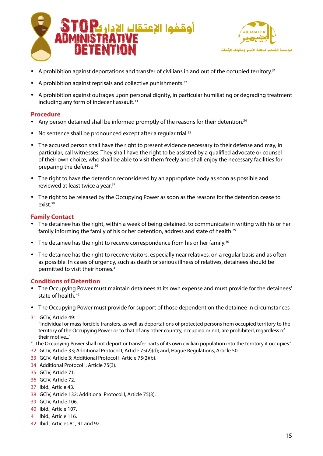



- A prohibition against deportations and transfer of civilians in and out of the occupied territory.<sup>31</sup>
- A prohibition against reprisals and collective punishments. $32$
- A prohibition against outrages upon personal dignity, in particular humiliating or degrading treatment including any form of indecent assault.<sup>33</sup>

#### **Procedure**

- Any person detained shall be informed promptly of the reasons for their detention.<sup>34</sup>
- No sentence shall be pronounced except after a regular trial.<sup>35</sup>
- The accused person shall have the right to present evidence necessary to their defense and may, in particular, call witnesses. They shall have the right to be assisted by a qualified advocate or counsel of their own choice, who shall be able to visit them freely and shall enjoy the necessary facilities for preparing the defense.<sup>36</sup>
- The right to have the detention reconsidered by an appropriate body as soon as possible and reviewed at least twice a year.<sup>37</sup>
- The right to be released by the Occupying Power as soon as the reasons for the detention cease to exist.<sup>38</sup>

#### **Family Contact**

- The detainee has the right, within a week of being detained, to communicate in writing with his or her family informing the family of his or her detention, address and state of health.<sup>39</sup>
- The detainee has the right to receive correspondence from his or her family.<sup>40</sup>
- The detainee has the right to receive visitors, especially near relatives, on a regular basis and as often as possible. In cases of urgency, such as death or serious illness of relatives, detainees should be permitted to visit their homes.<sup>41</sup>

#### **Conditions of Detention**

- The Occupying Power must maintain detainees at its own expense and must provide for the detainees' state of health.<sup>42</sup>
- The Occupying Power must provide for support of those dependent on the detainee in circumstances
- 31 GCIV, Article 49:

"Individual or mass forcible transfers, as well as deportations of protected persons from occupied territory to the territory of the Occupying Power or to that of any other country, occupied or not, are prohibited, regardless of their motive..."

- "...The Occupying Power shall not deport or transfer parts of its own civilian population into the territory it occupies."
- 32 GCIV, Article 33; Additional Protocol I, Article 75(2)(d); and, Hague Regulations, Article 50.
- 33 GCIV, Article 3; Additional Protocol I, Article 75(2)(b).
- 34 Additional Protocol I, Article 75(3).
- 35 GCIV, Article 71.
- 36 GCIV, Article 72.
- 37 Ibid., Article 43.
- 38 GCIV, Article 132; Additional Protocol I, Article 75(3).
- 39 GCIV, Article 106.
- 40 Ibid., Article 107.
- 41 Ibid., Article 116.
- 42 Ibid., Articles 81, 91 and 92.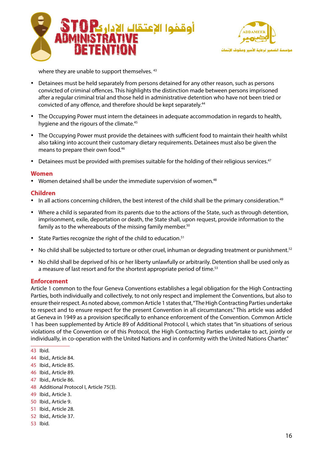



where they are unable to support themselves. 43

- Detainees must be held separately from persons detained for any other reason, such as persons convicted of criminal offences. This highlights the distinction made between persons imprisoned after a regular criminal trial and those held in administrative detention who have not been tried or convicted of any offence, and therefore should be kept separately.<sup>44</sup>
- The Occupying Power must intern the detainees in adequate accommodation in regards to health, hygiene and the rigours of the climate.<sup>45</sup>
- The Occupying Power must provide the detainees with sufficient food to maintain their health whilst also taking into account their customary dietary requirements. Detainees must also be given the means to prepare their own food.<sup>46</sup>
- Detainees must be provided with premises suitable for the holding of their religious services.<sup>47</sup>

#### **Women**

• Women detained shall be under the immediate supervision of women. $48$ 

#### **Children**

- In all actions concerning children, the best interest of the child shall be the primary consideration.<sup>49</sup>
- Where a child is separated from its parents due to the actions of the State, such as through detention, imprisonment, exile, deportation or death, the State shall, upon request, provide information to the family as to the whereabouts of the missing family member. $50$
- State Parties recognize the right of the child to education.<sup>51</sup>
- No child shall be subjected to torture or other cruel, inhuman or degrading treatment or punishment.<sup>52</sup>
- No child shall be deprived of his or her liberty unlawfully or arbitrarily. Detention shall be used only as a measure of last resort and for the shortest appropriate period of time.<sup>53</sup>

#### **Enforcement**

Article 1 common to the four Geneva Conventions establishes a legal obligation for the High Contracting Parties, both individually and collectively, to not only respect and implement the Conventions, but also to ensure their respect. As noted above, common Article 1 states that, "The High Contracting Parties undertake to respect and to ensure respect for the present Convention in all circumstances." This article was added at Geneva in 1949 as a provision specifically to enhance enforcement of the Convention. Common Article 1 has been supplemented by Article 89 of Additional Protocol I, which states that "in situations of serious violations of the Convention or of this Protocol, the High Contracting Parties undertake to act, jointly or individually, in co-operation with the United Nations and in conformity with the United Nations Charter."

- 44 Ibid., Article 84.
- 45 Ibid., Article 85.
- 46 Ibid., Article 89.
- 47 Ibid., Article 86.
- 48 Additional Protocol I, Article 75(3).
- 49 Ibid., Article 3.
- 50 Ibid., Article 9.
- 51 Ibid., Article 28.
- 52 Ibid., Article 37.
- 53 Ibid.

<sup>43</sup> Ibid.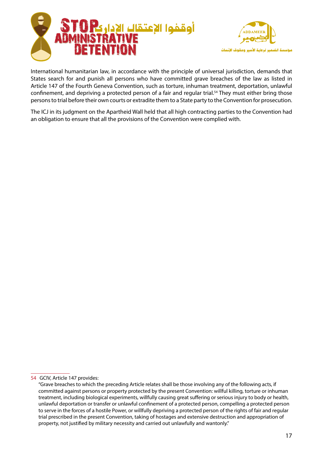



International humanitarian law, in accordance with the principle of universal jurisdiction, demands that States search for and punish all persons who have committed grave breaches of the law as listed in Article 147 of the Fourth Geneva Convention, such as torture, inhuman treatment, deportation, unlawful confinement, and depriving a protected person of a fair and regular trial.<sup>54</sup> They must either bring those persons to trial before their own courts or extradite them to a State party to the Convention for prosecution.

The ICJ in its judgment on the Apartheid Wall held that all high contracting parties to the Convention had an obligation to ensure that all the provisions of the Convention were complied with.

<sup>54</sup> GCIV, Article 147 provides:

<sup>&</sup>quot;Grave breaches to which the preceding Article relates shall be those involving any of the following acts, if committed against persons or property protected by the present Convention: willful killing, torture or inhuman treatment, including biological experiments, willfully causing great suffering or serious injury to body or health, unlawful deportation or transfer or unlawful confinement of a protected person, compelling a protected person to serve in the forces of a hostile Power, or willfully depriving a protected person of the rights of fair and regular trial prescribed in the present Convention, taking of hostages and extensive destruction and appropriation of property, not justified by military necessity and carried out unlawfully and wantonly."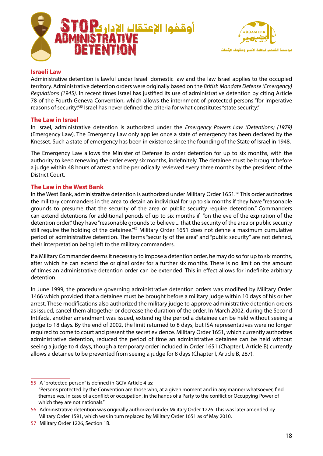



#### **Law Israeli**

Administrative detention is lawful under Israeli domestic law and the law Israel applies to the occupied *territory. Administrative detention orders were originally based on the British Mandate Defense (Emergency)* Regulations (1945). In recent times Israel has justified its use of administrative detention by citing Article 78 of the Fourth Geneva Convention, which allows the internment of protected persons "for imperative reasons of security."<sup>55</sup> Israel has never defined the criteria for what constitutes "state security."

#### **The Law in Israel**

In Israel, administrative detention is authorized under the *Emergency Powers Law (Detentions) (1979)* (Emergency Law). The Emergency Law only applies once a state of emergency has been declared by the Knesset. Such a state of emergency has been in existence since the founding of the State of Israel in 1948.

The Emergency Law allows the Minister of Defense to order detention for up to six months, with the authority to keep renewing the order every six months, indefinitely. The detainee must be brought before a judge within 48 hours of arrest and be periodically reviewed every three months by the president of the District Court.

#### **The Law in the West Bank**

In the West Bank, administrative detention is authorized under Military Order 1651.<sup>56</sup> This order authorizes the military commanders in the area to detain an individual for up to six months if they have "reasonable" grounds to presume that the security of the area or public security require detention." Commanders can extend detentions for additional periods of up to six months if "on the eve of the expiration of the detention order," they have "reasonable grounds to believe ... that the security of the area or public security still require the holding of the detainee."<sup>57</sup> Military Order 1651 does not define a maximum cumulative period of administrative detention. The terms "security of the area" and "public security" are not defined, their interpretation being left to the military commanders.

If a Military Commander deems it necessary to impose a detention order, he may do so for up to six months, after which he can extend the original order for a further six months. There is no limit on the amount of times an administrative detention order can be extended. This in effect allows for indefinite arbitrary detention.

In June 1999, the procedure governing administrative detention orders was modified by Military Order 1466 which provided that a detainee must be brought before a military judge within 10 days of his or her arrest. These modifications also authorized the military judge to approve administrative detention orders as issued, cancel them altogether or decrease the duration of the order. In March 2002, during the Second Intifada, another amendment was issued, extending the period a detainee can be held without seeing a judge to 18 days. By the end of 2002, the limit returned to 8 days, but ISA representatives were no longer required to come to court and present the secret evidence. Military Order 1651, which currently authorizes administrative detention, reduced the period of time an administrative detainee can be held without seeing a judge to 4 days, though a temporary order included in Order 1651 (Chapter I, Article B) currently allows a detainee to be prevented from seeing a judge for 8 days (Chapter I, Article B, 287).

<sup>55</sup> A "protected person" is defined in GCIV Article 4 as: "Persons protected by the Convention are those who, at a given moment and in any manner whatsoever, find themselves, in case of a conflict or occupation, in the hands of a Party to the conflict or Occupying Power of which they are not nationals."

<sup>56</sup> Administrative detention was originally authorized under Military Order 1226. This was later amended by Military Order 1591, which was in turn replaced by Military Order 1651 as of May 2010.

<sup>57</sup> Military Order 1226, Section 1B.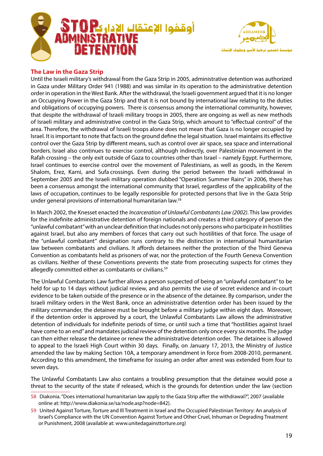



## **The Law in the Gaza Strip**

Until the Israeli military's withdrawal from the Gaza Strip in 2005, administrative detention was authorized in Gaza under Military Order 941 (1988) and was similar in its operation to the administrative detention order in operation in the West Bank. After the withdrawal, the Israeli government argued that it is no longer an Occupying Power in the Gaza Strip and that it is not bound by international law relating to the duties and obligations of occupying powers. There is consensus among the international community, however, that despite the withdrawal of Israeli military troops in 2005, there are ongoing as well as new methods of Israeli military and administrative control in the Gaza Strip, which amount to "effectual control" of the area. Therefore, the withdrawal of Israeli troops alone does not mean that Gaza is no longer occupied by Israel. It is important to note that facts on the ground define the legal situation. Israel maintains its effective control over the Gaza Strip by different means, such as control over air space, sea space and international borders. Israel also continues to exercise control, although indirectly, over Palestinian movement in the Rafah crossing – the only exit outside of Gaza to countries other than Israel – namely Egypt. Furthermore, Israel continues to exercise control over the movement of Palestinians, as well as goods, in the Kerem Shalom, Erez, Karni, and Sufa crossings. Even during the period between the Israeli withdrawal in September 2005 and the Israeli military operation dubbed "Operation Summer Rains" in 2006, there has been a consensus amongst the international community that Israel, regardless of the applicability of the laws of occupation, continues to be legally responsible for protected persons that live in the Gaza Strip under general provisions of international humanitarian law.<sup>58</sup>

In March 2002, the Knesset enacted the *Incarceration of Unlawful Combatants Law (2002)*. This law provides for the indefinite administrative detention of foreign nationals and creates a third category of person the "unlawful combatant" with an unclear definition that includes not only persons who participate in hostilities against Israel, but also any members of forces that carry out such hostilities of that force. The usage of the "unlawful combatant" designation runs contrary to the distinction in international humanitarian law between combatants and civilians. It affords detainees neither the protection of the Third Geneva Convention as combatants held as prisoners of war, nor the protection of the Fourth Geneva Convention as civilians. Neither of these Conventions prevents the state from prosecuting suspects for crimes they allegedly committed either as combatants or civilians.<sup>59</sup>

The Unlawful Combatants Law further allows a person suspected of being an "unlawful combatant" to be held for up to 14 days without judicial review, and also permits the use of secret evidence and in-court evidence to be taken outside of the presence or in the absence of the detainee. By comparison, under the Israeli military orders in the West Bank, once an administrative detention order has been issued by the military commander, the detainee must be brought before a military judge within eight days. Moreover, if the detention order is approved by a court, the Unlawful Combatants Law allows the administrative detention of individuals for indefinite periods of time, or until such a time that "hostilities against Israel have come to an end" and mandates judicial review of the detention only once every six months. The judge can then either release the detainee or renew the administrative detention order. The detainee is allowed to appeal to the Israeli High Court within 30 days. Finally, on January 17, 2013, the Ministry of Justice amended the law by making Section 10A, a temporary amendment in force from 2008-2010, permanent. According to this amendment, the timeframe for issuing an order after arrest was extended from four to seven days.

The Unlawful Combatants Law also contains a troubling presumption that the detainee would pose a threat to the security of the state if released, which is the grounds for detention under the law (section

<sup>58</sup> Diakonia. "Does international humanitarian law apply to the Gaza Strip after the withdrawal?", 2007 (available online at: http://www.diakonia.se/sa/node.asp?node=842).

<sup>59</sup> United Against Torture, Torture and Ill Treatment in Israel and the Occupied Palestinian Territory: An analysis of Israel's Compliance with the UN Convention Against Torture and Other Cruel, Inhuman or Degrading Treatment or Punishment, 2008 (available at: www.unitedagainsttorture.org)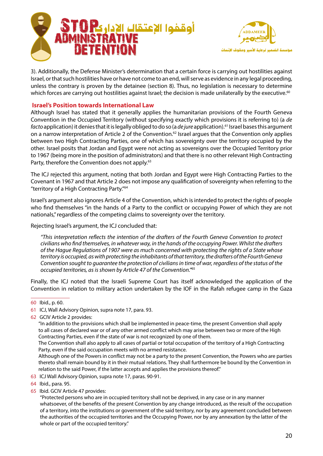



3). Additionally, the Defense Minister's determination that a certain force is carrying out hostilities against Israel, or that such hostilities have or have not come to an end, will serve as evidence in any legal proceeding, unless the contrary is proven by the detainee (section 8). Thus, no legislation is necessary to determine which forces are carrying out hostilities against Israel; the decision is made unilaterally by the executive.<sup>60</sup>

## **Israel's Position towards International Law**

Although Israel has stated that it generally applies the humanitarian provisions of the Fourth Geneva Convention in the Occupied Territory (without specifying exactly which provisions it is referring to) (a de facto application) it denies that it is legally obliged to do so (a *de jure* application).<sup>61</sup> Israel bases this argument on a narrow interpretation of Article 2 of the Convention.<sup>62</sup> Israel argues that the Convention only applies between two High Contracting Parties, one of which has sovereignty over the territory occupied by the other. Israel posits that Jordan and Egypt were not acting as sovereigns over the Occupied Territory prior to 1967 (being more in the position of administrators) and that there is no other relevant High Contracting Party, therefore the Convention does not apply.<sup>63</sup>

The ICJ rejected this argument, noting that both Jordan and Egypt were High Contracting Parties to the Covenant in 1967 and that Article 2 does not impose any qualification of sovereignty when referring to the "territory of a High Contracting Party."<sup>64</sup>

Israel's argument also ignores Article 4 of the Convention, which is intended to protect the rights of people who find themselves "in the hands of a Party to the conflict or occupying Power of which they are not nationals," regardless of the competing claims to sovereignty over the territory.

Rejecting Israel's argument, the ICJ concluded that:

 *protect to Convention Geneva Fourth the of drafters the of intention the reflects interpretation This" drafters the Whilst .Power occupying the of hands the in ,way whatever in ,themselves find who civilians* of the Hague Regulations of 1907 were as much concerned with protecting the rights of a State whose  *Geneva Fourth the of drafters the ,territory that of inhabitants the protecting with as ,occupied is territory Convention sought to quarantee the protection of civilians in time of war, regardless of the status of the* occupied territories, as is shown by Article 47 of the Convention."<sup>65</sup>

Finally, the ICJ noted that the Israeli Supreme Court has itself acknowledged the application of the Convention in relation to military action undertaken by the IOF in the Rafah refugee camp in the Gaza

62 GCIV Article 2 provides:

The Convention shall also apply to all cases of partial or total occupation of the territory of a High Contracting Party, even if the said occupation meets with no armed resistance.

Although one of the Powers in conflict may not be a party to the present Convention, the Powers who are parties thereto shall remain bound by it in their mutual relations. They shall furthermore be bound by the Convention in relation to the said Power, if the latter accepts and applies the provisions thereof."

- 63 ICJ Wall Advisory Opinion, supra note 17, paras. 90-91.
- 64 Ibid., para. 95.
- 65 Ibid. GCIV Article 47 provides:

"Protected persons who are in occupied territory shall not be deprived, in any case or in any manner whatsoever, of the benefits of the present Convention by any change introduced, as the result of the occupation of a territory, into the institutions or government of the said territory, nor by any agreement concluded between the authorities of the occupied territories and the Occupying Power, nor by any annexation by the latter of the whole or part of the occupied territory."

<sup>60</sup> lbid., p. 60.

<sup>61</sup> ICJ, Wall Advisory Opinion, supra note 17, para. 93.

<sup>&</sup>quot;In addition to the provisions which shall be implemented in peace-time, the present Convention shall apply to all cases of declared war or of any other armed conflict which may arise between two or more of the High Contracting Parties, even if the state of war is not recognized by one of them.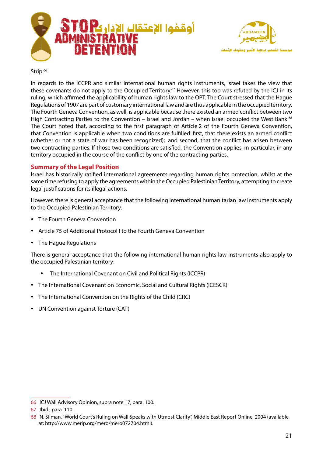



#### Strip.<sup>66</sup>

In regards to the ICCPR and similar international human rights instruments, Israel takes the view that these covenants do not apply to the Occupied Territory.<sup>67</sup> However, this too was refuted by the ICJ in its ruling, which affirmed the applicability of human rights law to the OPT. The Court stressed that the Hague Requlations of 1907 are part of customary international law and are thus applicable in the occupied territory. The Fourth Geneva Convention, as well, is applicable because there existed an armed conflict between two High Contracting Parties to the Convention – Israel and Jordan – when Israel occupied the West Bank.<sup>68</sup> The Court noted that, according to the first paragraph of Article 2 of the Fourth Geneva Convention, that Convention is applicable when two conditions are fulfilled: first, that there exists an armed conflict (whether or not a state of war has been recognized); and second, that the conflict has arisen between two contracting parties. If those two conditions are satisfied, the Convention applies, in particular, in any territory occupied in the course of the conflict by one of the contracting parties.

#### **Summary of the Legal Position**

Israel has historically ratified international agreements regarding human rights protection, whilst at the same time refusing to apply the agreements within the Occupied Palestinian Territory, attempting to create legal justifications for its illegal actions.

However, there is general acceptance that the following international humanitarian law instruments apply to the Occupied Palestinian Territory:

- The Fourth Geneva Convention
- Article 75 of Additional Protocol I to the Fourth Geneva Convention
- The Hague Regulations

There is general acceptance that the following international human rights law instruments also apply to the occupied Palestinian territory:

- The International Covenant on Civil and Political Rights (ICCPR)
- The International Covenant on Economic, Social and Cultural Rights (ICESCR)
- The International Convention on the Rights of the Child (CRC)
- UN Convention against Torture (CAT)

<sup>66</sup> ICJ Wall Advisory Opinion, supra note 17, para. 100.

<sup>67</sup> Ibid., para. 110.

<sup>68</sup> N. Sliman, "World Court's Ruling on Wall Speaks with Utmost Clarity", Middle East Report Online, 2004 (available at: http://www.merip.org/mero/mero072704.html).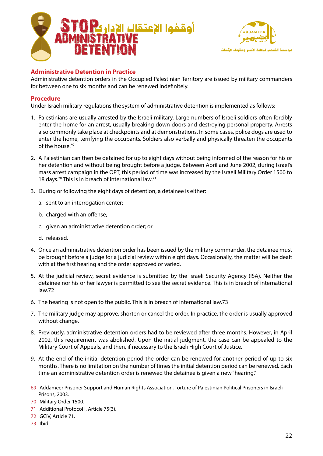



## **Administrative Detention in Practice**

Administrative detention orders in the Occupied Palestinian Territory are issued by military commanders for between one to six months and can be renewed indefinitely.

## **Procedure**

Under Israeli military regulations the system of administrative detention is implemented as follows:

- 1. Palestinians are usually arrested by the Israeli military. Large numbers of Israeli soldiers often forcibly enter the home for an arrest, usually breaking down doors and destroying personal property. Arrests also commonly take place at checkpoints and at demonstrations. In some cases, police dogs are used to enter the home, terrifying the occupants. Soldiers also verbally and physically threaten the occupants  $of$  the house  $69$
- 2. A Palestinian can then be detained for up to eight days without being informed of the reason for his or her detention and without being brought before a judge. Between April and June 2002, during Israel's mass arrest campaign in the OPT, this period of time was increased by the Israeli Military Order 1500 to 18 days.<sup>70</sup> This is in breach of international law.<sup>71</sup>
- 3. During or following the eight days of detention, a detainee is either:
	- a. sent to an interrogation center;
	- b. charged with an offense;
	- c. given an administrative detention order; or
	- d. released.
- 4. Once an administrative detention order has been issued by the military commander, the detainee must be brought before a judge for a judicial review within eight days. Occasionally, the matter will be dealt with at the first hearing and the order approved or varied.
- 5. At the judicial review, secret evidence is submitted by the Israeli Security Agency (ISA). Neither the detainee nor his or her lawyer is permitted to see the secret evidence. This is in breach of international  $law<sub>72</sub>$
- 6. The hearing is not open to the public. This is in breach of international law.73
- 7. The military judge may approve, shorten or cancel the order. In practice, the order is usually approved without change.
- 8. Previously, administrative detention orders had to be reviewed after three months. However, in April 2002, this requirement was abolished. Upon the initial judgment, the case can be appealed to the Military Court of Appeals, and then, if necessary to the Israeli High Court of Justice.
- 9. At the end of the initial detention period the order can be renewed for another period of up to six months. There is no limitation on the number of times the initial detention period can be renewed. Each time an administrative detention order is renewed the detainee is given a new "hearing."

<sup>69</sup> Addameer Prisoner Support and Human Rights Association, Torture of Palestinian Political Prisoners in Israeli Prisons, 2003.

<sup>70</sup> Military Order 1500.

<sup>71</sup> Additional Protocol I, Article 75(3).

<sup>72</sup> GCIV, Article 71.

<sup>73</sup> Ibid.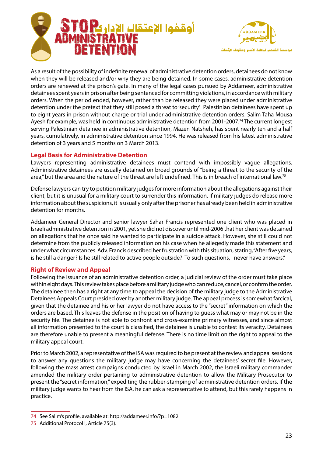



As a result of the possibility of indefinite renewal of administrative detention orders, detainees do not know when they will be released and/or why they are being detained. In some cases, administrative detention orders are renewed at the prison's gate. In many of the legal cases pursued by Addameer, administrative detainees spent years in prison after being sentenced for committing violations, in accordance with military orders. When the period ended, however, rather than be released they were placed under administrative detention under the pretext that they still posed a threat to 'security'. Palestinian detainees have spent up to eight years in prison without charge or trial under administrative detention orders. Salim Taha Mousa Ayesh for example, was held in continuous administrative detention from 2001-2007.<sup>74</sup> The current longest serving Palestinian detainee in administrative detention, Mazen Natsheh, has spent nearly ten and a half years, cumulatively, in administrative detention since 1994. He was released from his latest administrative detention of 3 years and 5 months on 3 March 2013.

## **Legal Basis for Administrative Detention**

Lawyers representing administrative detainees must contend with impossibly vague allegations. Administrative detainees are usually detained on broad grounds of "being a threat to the security of the area," but the area and the nature of the threat are left undefined. This is in breach of international law.<sup>75</sup>

Defense lawyers can try to petition military judges for more information about the allegations against their client, but it is unusual for a military court to surrender this information. If military judges do release more information about the suspicions, it is usually only after the prisoner has already been held in administrative detention for months.

Addameer General Director and senior lawyer Sahar Francis represented one client who was placed in lsraeli administrative detention in 2001, yet she did not discover until mid-2006 that her client was detained on allegations that he once said he wanted to participate in a suicide attack. However, she still could not determine from the publicly released information on his case when he allegedly made this statement and under what circumstances. Adv. Francis described her frustration with this situation, stating, "After five years, is he still a danger? Is he still related to active people outside? To such questions, I never have answers."

## **Right of Review and Appeal**

Following the issuance of an administrative detention order, a judicial review of the order must take place within eight days. This review takes place before a military judge who can reduce, cancel, or confirm the order. The detainee then has a right at any time to appeal the decision of the military judge to the Administrative Detainees Appeals Court presided over by another military judge. The appeal process is somewhat farcical, given that the detainee and his or her lawyer do not have access to the "secret" information on which the orders are based. This leaves the defense in the position of having to quess what may or may not be in the security file. The detainee is not able to confront and cross-examine primary witnesses, and since almost all information presented to the court is classified, the detainee is unable to contest its veracity. Detainees are therefore unable to present a meaningful defense. There is no time limit on the right to appeal to the military appeal court.

Prior to March 2002, a representative of the ISA was required to be present at the review and appeal sessions to answer any questions the military judge may have concerning the detainees' secret file. However, following the mass arrest campaigns conducted by Israel in March 2002, the Israeli military commander amended the military order pertaining to administrative detention to allow the Military Prosecutor to present the "secret information," expediting the rubber-stamping of administrative detention orders. If the military judge wants to hear from the ISA, he can ask a representative to attend, but this rarely happens in .practice

<sup>74</sup> See Salim's profile, available at: http://addameer.info/?p=1082.

<sup>75</sup> Additional Protocol I, Article 75(3).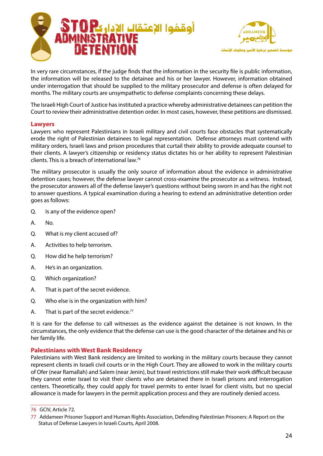



In very rare circumstances, if the judge finds that the information in the security file is public information, the information will be released to the detainee and his or her lawyer. However, information obtained under interrogation that should be supplied to the military prosecutor and defense is often delayed for months. The military courts are unsympathetic to defense complaints concerning these delays.

The Israeli High Court of Justice has instituted a practice whereby administrative detainees can petition the Court to review their administrative detention order. In most cases, however, these petitions are dismissed.

#### **Lawyers**

Lawyers who represent Palestinians in Israeli military and civil courts face obstacles that systematically erode the right of Palestinian detainees to legal representation. Defense attorneys must contend with military orders, Israeli laws and prison procedures that curtail their ability to provide adequate counsel to their clients. A lawyer's citizenship or residency status dictates his or her ability to represent Palestinian clients. This is a breach of international law.<sup>76</sup>

The military prosecutor is usually the only source of information about the evidence in administrative detention cases; however, the defense lawyer cannot cross-examine the prosecutor as a witness. Instead, the prosecutor answers all of the defense lawyer's questions without being sworn in and has the right not to answer questions. A typical examination during a hearing to extend an administrative detention order qoes as follows:

- Q. Is any of the evidence open?
- A. No.
- Q. What is my client accused of?
- A. Activities to help terrorism.
- Q. How did he help terrorism?
- A. He's in an organization.
- Q. Which organization?
- A. That is part of the secret evidence.
- Q. Who else is in the organization with him?
- A. That is part of the secret evidence.<sup>77</sup>

It is rare for the defense to call witnesses as the evidence against the detainee is not known. In the circumstances, the only evidence that the defense can use is the good character of the detainee and his or her family life.

#### **Palestinians with West Bank Residency**

Palestinians with West Bank residency are limited to working in the military courts because they cannot represent clients in Israeli civil courts or in the High Court. They are allowed to work in the military courts of Ofer (near Ramallah) and Salem (near Jenin), but travel restrictions still make their work difficult because they cannot enter Israel to visit their clients who are detained there in Israeli prisons and interrogation centers. Theoretically, they could apply for travel permits to enter Israel for client visits, but no special allowance is made for lawyers in the permit application process and they are routinely denied access.

<sup>76</sup> GCIV, Article 72.

<sup>77</sup> Addameer Prisoner Support and Human Rights Association, Defending Palestinian Prisoners: A Report on the Status of Defense Lawyers in Israeli Courts, April 2008.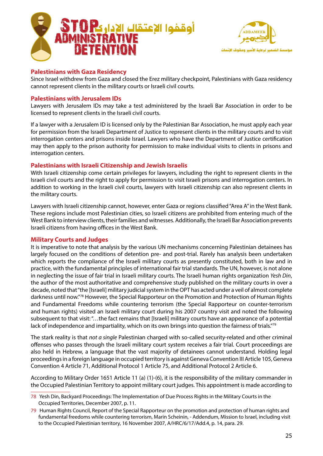



## **Palestinians with Gaza Residency**

Since Israel withdrew from Gaza and closed the Erez military checkpoint, Palestinians with Gaza residency cannot represent clients in the military courts or Israeli civil courts.

## **Palestinians with Jerusalem IDs**

Lawyers with Jerusalem IDs may take a test administered by the Israeli Bar Association in order to be licensed to represent clients in the Israeli civil courts.

If a lawyer with a Jerusalem ID is licensed only by the Palestinian Bar Association, he must apply each year for permission from the Israeli Department of Justice to represent clients in the military courts and to visit interrogation centers and prisons inside Israel. Lawyers who have the Department of Justice certification may then apply to the prison authority for permission to make individual visits to clients in prisons and interrogation centers.

#### **Palestinians with Israeli Citizenship and Jewish Israelis**

With Israeli citizenship come certain privileges for lawyers, including the right to represent clients in the Israeli civil courts and the right to apply for permission to visit Israeli prisons and interrogation centers. In addition to working in the Israeli civil courts, lawyers with Israeli citizenship can also represent clients in the military courts.

Lawyers with Israeli citizenship cannot, however, enter Gaza or regions classified "Area A" in the West Bank. These regions include most Palestinian cities, so Israeli citizens are prohibited from entering much of the West Bank to interview clients, their families and witnesses. Additionally, the Israeli Bar Association prevents Israeli citizens from having offices in the West Bank.

#### **Military Courts and Judges**

It is imperative to note that analysis by the various UN mechanisms concerning Palestinian detainees has largely focused on the conditions of detention pre- and post-trial. Rarely has analysis been undertaken which reports the compliance of the Israeli military courts as presently constituted, both in law and in practice, with the fundamental principles of international fair trial standards. The UN, however, is not alone in neglecting the issue of fair trial in Israeli military courts. The Israeli human rights organization Yesh Din, the author of the most authoritative and comprehensive study published on the military courts in over a decade, noted that "the [Israeli] military judicial system in the OPT has acted under a veil of almost complete darkness until now."78 However, the Special Rapporteur on the Promotion and Protection of Human Rights and Fundamental Freedoms while countering terrorism (the Special Rapporteur on counter-terrorism and human rights) visited an Israeli military court during his 2007 country visit and noted the following subsequent to that visit: "...the fact remains that [Israeli] military courts have an appearance of a potential lack of independence and impartiality, which on its own brings into question the fairness of trials."<sup>79</sup>

The stark reality is that *not a single* Palestinian charged with so-called security-related and other criminal offenses who passes through the Israeli military court system receives a fair trial. Court proceedings are also held in Hebrew, a language that the vast majority of detainees cannot understand. Holding legal proceedings in a foreign language in occupied territory is against Geneva Convention III Article 105, Geneva Convention 4 Article 71, Additional Protocol 1 Article 75, and Additional Protocol 2 Article 6.

According to Military Order 1651 Article 11 (a) (1)-(6), it is the responsibility of the military commander in the Occupied Palestinian Territory to appoint military court judges. This appointment is made according to

<sup>78</sup> Yesh Din, Backyard Proceedings: The Implementation of Due Process Rights in the Military Courts in the Occupied Territories, December 2007, p. 11.

<sup>79</sup> Human Rights Council, Report of the Special Rapporteur on the promotion and protection of human rights and fundamental freedoms while countering terrorism, Marin Scheinin, - Addendum, Mission to Israel, including visit to the Occupied Palestinian territory, 16 November 2007, A/HRC/6/17/Add.4, p. 14, para. 29.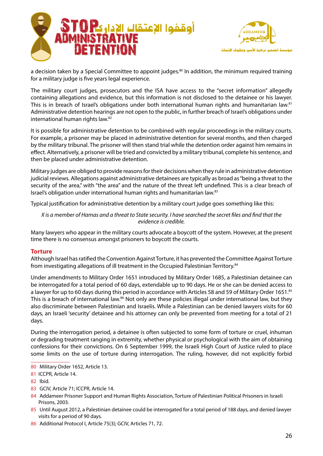



a decision taken by a Special Committee to appoint judges.<sup>80</sup> In addition, the minimum required training for a military judge is five years legal experience.

The military court judges, prosecutors and the ISA have access to the "secret information" allegedly containing allegations and evidence, but this information is not disclosed to the detainee or his lawyer. This is in breach of Israel's obligations under both international human rights and humanitarian law.<sup>81</sup> Administrative detention hearings are not open to the public, in further breach of Israel's obligations under international human rights law.<sup>82</sup>

It is possible for administrative detention to be combined with regular proceedings in the military courts. For example, a prisoner may be placed in administrative detention for several months, and then charged by the military tribunal. The prisoner will then stand trial while the detention order against him remains in effect. Alternatively, a prisoner will be tried and convicted by a military tribunal, complete his sentence, and then be placed under administrative detention.

Military judges are obliged to provide reasons for their decisions when they rule in administrative detention judicial reviews. Allegations against administrative detainees are typically as broad as "being a threat to the security of the area," with "the area" and the nature of the threat left undefined. This is a clear breach of Israel's obligation under international human rights and humanitarian law.<sup>83</sup>

Typical justification for administrative detention by a military court judge goes something like this:

*X* is a member of Hamas and a threat to State security. I have searched the secret files and find that the *.credible is evidence*

Many lawyers who appear in the military courts advocate a boycott of the system. However, at the present time there is no consensus amongst prisoners to boycott the courts.

#### **Torture**

Although Israel has ratified the Convention Against Torture, it has prevented the Committee Against Torture from investigating allegations of ill treatment in the Occupied Palestinian Territory.<sup>84</sup>

Under amendments to Military Order 1651 introduced by Military Order 1685, a Palestinian detainee can be interrogated for a total period of 60 days, extendable up to 90 days. He or she can be denied access to a lawyer for up to 60 days during this period in accordance with Articles 58 and 59 of Military Order 1651.<sup>85</sup> This is a breach of international law.<sup>86</sup> Not only are these policies illegal under international law, but they also discriminate between Palestinian and Israelis. While a Palestinian can be denied lawyers visits for 60 days, an Israeli 'security' detainee and his attorney can only be prevented from meeting for a total of 21 days.

During the interrogation period, a detainee is often subjected to some form of torture or cruel, inhuman or degrading treatment ranging in extremity, whether physical or psychological with the aim of obtaining confessions for their convictions. On 6 September 1999, the Israeli High Court of Justice ruled to place some limits on the use of torture during interrogation. The ruling, however, did not explicitly forbid

- 85 Until August 2012, a Palestinian detainee could be interrogated for a total period of 188 days, and denied lawyer visits for a period of 90 days.
- 86 Additional Protocol I, Article 75(3); GCIV, Articles 71, 72.

<sup>80</sup> Military Order 1652, Article 13.

<sup>81</sup> ICCPR, Article 14.

<sup>82</sup> Ibid.

<sup>83</sup> GCIV, Article 71; ICCPR, Article 14.

<sup>84</sup> Addameer Prisoner Support and Human Rights Association, Torture of Palestinian Political Prisoners in Israeli Prisons, 2003.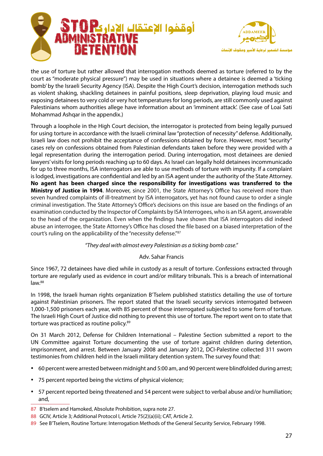



the use of torture but rather allowed that interrogation methods deemed as torture (referred to by the court as "moderate physical pressure") may be used in situations where a detainee is deemed a 'ticking bomb' by the Israeli Security Agency (ISA). Despite the High Court's decision, interrogation methods such as violent shaking, shackling detainees in painful positions, sleep deprivation, playing loud music and exposing detainees to very cold or very hot temperatures for long periods, are still commonly used against Palestinians whom authorities allege have information about an 'imminent attack'. (See case of Loai Sati Mohammad Ashqar in the appendix.)

Through a loophole in the High Court decision, the interrogator is protected from being legally pursued for using torture in accordance with the Israeli criminal law "protection of necessity" defense. Additionally, Israeli law does not prohibit the acceptance of confessions obtained by force. However, most "security" cases rely on confessions obtained from Palestinian defendants taken before they were provided with a legal representation during the interrogation period. During interrogation, most detainees are denied lawyers' visits for long periods reaching up to 60 days. As Israel can legally hold detainees incommunicado for up to three months, ISA interrogators are able to use methods of torture with impunity. If a complaint is lodged, investigations are confidential and led by an ISA agent under the authority of the State Attorney. No agent has been charged since the responsibility for investigations was transferred to the **Ministry of Justice in 1994**. Moreover, since 2001, the State Attorney's Office has received more than seven hundred complaints of ill-treatment by ISA interrogators, yet has not found cause to order a single criminal investigation. The State Attorney's Office's decisions on this issue are based on the findings of an examination conducted by the Inspector of Complaints by ISA Interrogees, who is an ISA agent, answerable to the head of the organization. Even when the findings have shown that ISA interrogators did indeed abuse an interrogee, the State Attorney's Office has closed the file based on a biased interpretation of the court's ruling on the applicability of the "necessity defense."87

#### "They deal with almost every Palestinian as a ticking bomb case."

## Adv. Sahar Francis

Since 1967, 72 detainees have died while in custody as a result of torture. Confessions extracted through torture are regularly used as evidence in court and/or military tribunals. This is a breach of international  $law.<sup>88</sup>$ 

In 1998, the Israeli human rights organization B'Tselem published statistics detailing the use of torture against Palestinian prisoners. The report stated that the Israeli security services interrogated between 1,000-1,500 prisoners each year, with 85 percent of those interrogated subjected to some form of torture. The Israeli High Court of Justice did nothing to prevent this use of torture. The report went on to state that torture was practiced as routine policy.<sup>89</sup>

On 31 March 2012, Defense for Children International – Palestine Section submitted a report to the UN Committee against Torture documenting the use of torture against children during detention, imprisonment, and arrest. Between January 2008 and January 2012, DCI-Palestine collected 311 sworn testimonies from children held in the Israeli military detention system. The survey found that:

- 60 percent were arrested between midnight and 5:00 am, and 90 percent were blindfolded during arrest;
- 75 percent reported being the victims of physical violence;
- 57 percent reported being threatened and 54 percent were subject to verbal abuse and/or humiliation; ,and
- 87 B'tselem and Hamoked, Absolute Prohibition, supra note 27.
- 88 GCIV, Article 3; Additional Protocol I, Article 75(2)(a)(ii); CAT, Article 2.
- 89 See B'Tselem, Routine Torture: Interrogation Methods of the General Security Service, February 1998.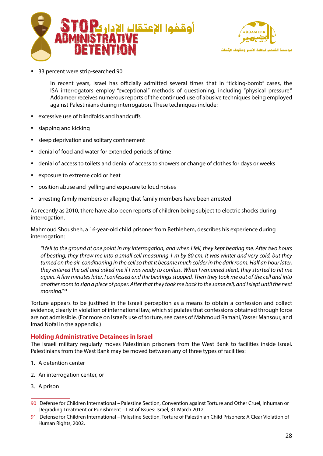



33 percent were strip-searched.90

In recent years, Israel has officially admitted several times that in "ticking-bomb" cases, the ISA interrogators employ "exceptional" methods of questioning, including "physical pressure." Addameer receives numerous reports of the continued use of abusive techniques being employed against Palestinians during interrogation. These techniques include:

- excessive use of blindfolds and handcuffs
- slapping and kicking
- sleep deprivation and solitary confinement
- denial of food and water for extended periods of time
- e denial of access to toilets and denial of access to showers or change of clothes for days or weeks
- exposure to extreme cold or heat
- position abuse and yelling and exposure to loud noises
- arresting family members or alleging that family members have been arrested

As recently as 2010, there have also been reports of children being subject to electric shocks during interrogation.

Mahmoud Shousheh, a 16-year-old child prisoner from Bethlehem, describes his experience during interrogation:

 *hours two After .me beating kept they ,fell I when and ,interrogation my in point one at ground the to fell I" they but ,cold very and winter was It .cm 80 by m 1 measuring cell small a into me threw they ,beating of* turned on the air-conditioning in the cell so that it became much colder in the dark room. Half an hour later, they entered the cell and asked me if I was ready to confess. When I remained silent, they started to hit me again. A few minutes later, I confessed and the beatings stopped. Then they took me out of the cell and into *another room to sign a piece of paper. After that they took me back to the same cell, and I slept until the next* morning."<sup>91</sup>

Torture appears to be justified in the Israeli perception as a means to obtain a confession and collect evidence, clearly in violation of international law, which stipulates that confessions obtained through force are not admissible. (For more on Israel's use of torture, see cases of Mahmoud Ramahi, Yasser Mansour, and Imad Nofal in the appendix.)

## **Holding Administrative Detainees in Israel**

The Israeli military regularly moves Palestinian prisoners from the West Bank to facilities inside Israel. Palestinians from the West Bank may be moved between any of three types of facilities:

- 1. A detention center
- 2. An interrogation center, or
- 3. A prison

<sup>90</sup> Defense for Children International – Palestine Section, Convention against Torture and Other Cruel, Inhuman or Degrading Treatment or Punishment – List of Issues: Israel, 31 March 2012.

<sup>91</sup> Defense for Children International – Palestine Section, Torture of Palestinian Child Prisoners: A Clear Violation of Human Rights, 2002.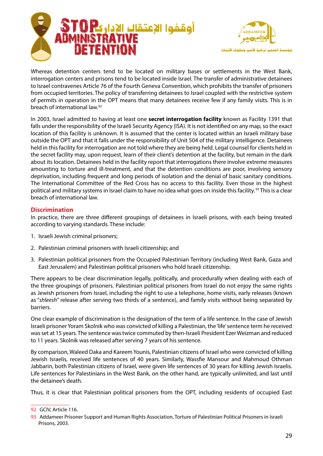



Whereas detention centers tend to be located on military bases or settlements in the West Bank, interrogation centers and prisons tend to be located inside Israel. The transfer of administrative detainees to Israel contravenes Article 76 of the Fourth Geneva Convention, which prohibits the transfer of prisoners from occupied territories. The policy of transferring detainees to Israel coupled with the restrictive system of permits in operation in the OPT means that many detainees receive few if any family visits. This is in breach of international law.<sup>92</sup>

In 2003, Israel admitted to having at least one **secret interrogation facility** known as Facility 1391 that falls under the responsibility of the Israeli Security Agency (ISA). It is not identified on any map, so the exact location of this facility is unknown. It is assumed that the center is located within an Israeli military base outside the OPT and that it falls under the responsibility of Unit 504 of the military intelligence. Detainees held in this facility for interrogation are not told where they are being held. Legal counsel for clients held in the secret facility may, upon request, learn of their client's detention at the facility, but remain in the dark about its location. Detainees held in the facility report that interrogations there involve extreme measures amounting to torture and ill-treatment, and that the detention conditions are poor, involving sensory deprivation, including frequent and long periods of isolation and the denial of basic sanitary conditions. The International Committee of the Red Cross has no access to this facility. Even those in the highest political and military systems in Israel claim to have no idea what goes on inside this facility.<sup>93</sup> This is a clear breach of international law.

#### **Discrimination**

In practice, there are three different groupings of detainees in Israeli prisons, with each being treated according to varying standards. These include:

- 1. Israeli Jewish criminal prisoners;
- 2. Palestinian criminal prisoners with Israeli citizenship: and
- 3. Palestinian political prisoners from the Occupied Palestinian Territory (including West Bank, Gaza and East Jerusalem) and Palestinian political prisoners who hold Israeli citizenship.

There appears to be clear discrimination legally, politically, and procedurally when dealing with each of the three groupings of prisoners. Palestinian political prisoners from Israel do not enjoy the same rights as Jewish prisoners from Israel, including the right to use a telephone, home visits, early releases (known as "shleesh" release after serving two thirds of a sentence), and family visits without being separated by .barriers

One clear example of discrimination is the designation of the term of a life sentence. In the case of Jewish Israeli prisoner Yoram Skolnik who was convicted of killing a Palestinian, the 'life' sentence term he received was set at 15 years. The sentence was twice commuted by then-Israeli President Ezer Weizman and reduced to 11 years. Skolnik was released after serving 7 years of his sentence.

By comparison, Waleed Daka and Kareem Younis, Palestinian citizens of Israel who were convicted of killing Jewish Israelis, received life sentences of 40 years. Similarly, Wassfie Mansour and Mahmoud Othman Jabbarin, both Palestinian citizens of Israel, were given life sentences of 30 years for killing Jewish Israelis. Life sentences for Palestinians in the West Bank, on the other hand, are typically unlimited, and last until the detainee's death.

Thus, it is clear that Palestinian political prisoners from the OPT, including residents of occupied East

<sup>92</sup> GCIV, Article 116.

<sup>93</sup> Addameer Prisoner Support and Human Rights Association, Torture of Palestinian Political Prisoners in Israeli Prisons, 2003.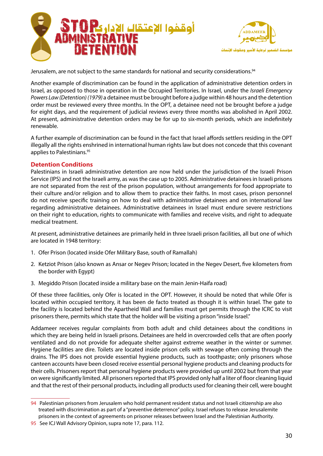



Jerusalem, are not subject to the same standards for national and security considerations.<sup>94</sup>

Another example of discrimination can be found in the application of administrative detention orders in *Israel, as opposed to those in operation in the Occupied Territories. In Israel, under the <i>Israeli Emergency* Powers Law (Detention) (1979) a detainee must be brought before a judge within 48 hours and the detention order must be reviewed every three months. In the OPT, a detainee need not be brought before a judge for eight days, and the requirement of judicial reviews every three months was abolished in April 2002. At present, administrative detention orders may be for up to six-month periods, which are indefinitely .renewable

A further example of discrimination can be found in the fact that Israel affords settlers residing in the OPT illegally all the rights enshrined in international human rights law but does not concede that this covenant applies to Palestinians.<sup>95</sup>

#### **Detention Conditions**

Palestinians in Israeli administrative detention are now held under the jurisdiction of the Israeli Prison Service (IPS) and not the Israeli army, as was the case up to 2005. Administrative detainees in Israeli prisons are not separated from the rest of the prison population, without arrangements for food appropriate to their culture and/or religion and to allow them to practice their faiths. In most cases, prison personnel do not receive specific training on how to deal with administrative detainees and on international law regarding administrative detainees. Administrative detainees in Israel must endure severe restrictions on their right to education, rights to communicate with families and receive visits, and right to adequate medical treatment.

At present, administrative detainees are primarily held in three Israeli prison facilities, all but one of which are located in 1948 territory:

- 1. Ofer Prison (located inside Ofer Military Base, south of Ramallah)
- 2. Ketziot Prison (also known as Ansar or Negev Prison; located in the Negev Desert, five kilometers from the border with Egypt)
- 3. Megiddo Prison (located inside a military base on the main Jenin-Haifa road)

Of these three facilities, only Ofer is located in the OPT. However, it should be noted that while Ofer is located within occupied territory, it has been de facto treated as though it is within Israel. The gate to the facility is located behind the Apartheid Wall and families must get permits through the ICRC to visit prisoners there, permits which state that the holder will be visiting a prison "inside Israel."

Addameer receives regular complaints from both adult and child detainees about the conditions in which they are being held in Israeli prisons. Detainees are held in overcrowded cells that are often poorly ventilated and do not provide for adequate shelter against extreme weather in the winter or summer. Hygiene facilities are dire. Toilets are located inside prison cells with sewage often coming through the drains. The IPS does not provide essential hygiene products, such as toothpaste; only prisoners whose canteen accounts have been closed receive essential personal hygiene products and cleaning products for their cells. Prisoners report that personal hygiene products were provided up until 2002 but from that year on were significantly limited. All prisoners reported that IPS provided only half a liter of floor cleaning liquid and that the rest of their personal products, including all products used for cleaning their cell, were bought

<sup>94</sup> Palestinian prisoners from Jerusalem who hold permanent resident status and not Israeli citizenship are also treated with discrimination as part of a "preventive deterrence" policy. Israel refuses to release Jerusalemite prisoners in the context of agreements on prisoner releases between Israel and the Palestinian Authority.

<sup>95</sup> See ICJ Wall Advisory Opinion, supra note 17, para. 112.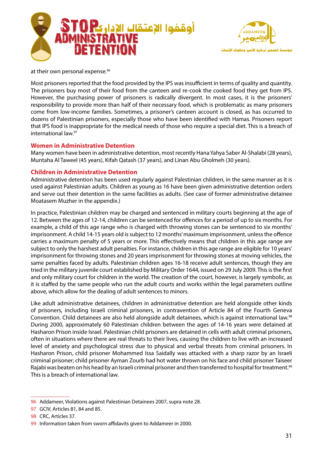



at their own personal expense.<sup>96</sup>

Most prisoners reported that the food provided by the IPS was insufficient in terms of quality and quantity. The prisoners buy most of their food from the canteen and re-cook the cooked food they get from IPS. However, the purchasing power of prisoners is radically divergent. In most cases, it is the prisoners' responsibility to provide more than half of their necessary food, which is problematic as many prisoners come from low-income families. Sometimes, a prisoner's canteen account is closed, as has occurred to dozens of Palestinian prisoners, especially those who have been identified with Hamas. Prisoners report that IPS food is inappropriate for the medical needs of those who require a special diet. This is a breach of international law. $97$ 

#### **Women in Administrative Detention**

Many women have been in administrative detention, most recently Hana Yahya Saber Al-Shalabi (28 years), Muntaha Al Taweel (45 years), Kifah Qatash (37 years), and Linan Abu Gholmeh (30 years).

#### **Children in Administrative Detention**

Administrative detention has been used regularly against Palestinian children, in the same manner as it is used against Palestinian adults. Children as young as 16 have been given administrative detention orders and serve out their detention in the same facilities as adults. (See case of former administrative detainee Moatasem Muzher in the appendix.)

In practice, Palestinian children may be charged and sentenced in military courts beginning at the age of 12. Between the ages of 12-14, children can be sentenced for offences for a period of up to six months. For example, a child of this age range who is charged with throwing stones can be sentenced to six months' imprisonment. A child 14-15 years old is subject to 12 months' maximum imprisonment, unless the offence carries a maximum penalty of 5 years or more. This effectively means that children in this age range are subject to only the harshest adult penalties. For instance, children in this age range are eligible for 10 years' imprisonment for throwing stones and 20 years imprisonment for throwing stones at moving vehicles, the same penalties faced by adults. Palestinian children ages 16-18 receive adult sentences, though they are tried in the military juvenile court established by Military Order 1644, issued on 29 July 2009. This is the first and only military court for children in the world. The creation of the court, however, is largely symbolic, as it is staffed by the same people who run the adult courts and works within the legal parameters outline above, which allow for the dealing of adult sentences to minors.

Like adult administrative detainees, children in administrative detention are held alongside other kinds of prisoners, including Israeli criminal prisoners, in contravention of Article 84 of the Fourth Geneva Convention. Child detainees are also held alongside adult detainees, which is against international law.<sup>98</sup> During 2000, approximately 60 Palestinian children between the ages of 14-16 years were detained at Hasharon Prison inside Israel. Palestinian child prisoners are detained in cells with adult criminal prisoners, often in situations where there are real threats to their lives, causing the children to live with an increased level of anxiety and psychological stress due to physical and verbal threats from criminal prisoners. In Hasharon Prison, child prisoner Mohammed Issa Saidally was attacked with a sharp razor by an Israeli criminal prisoner; child prisoner Ayman Zourb had hot water thrown on his face and child prisoner Taiseer Rajabi was beaten on his head by an Israeli criminal prisoner and then transferred to hospital for treatment.<sup>99</sup> This is a breach of international law.

<sup>96</sup> Addameer, Violations against Palestinian Detainees 2007, supra note 28.

<sup>97</sup> GCIV, Articles 81, 84 and 85.

<sup>98</sup> CRC, Articles 37.

<sup>99</sup> Information taken from sworn affidavits given to Addameer in 2000.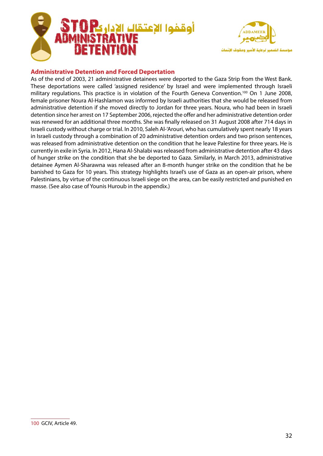



## **Administrative Detention and Forced Deportation**

As of the end of 2003, 21 administrative detainees were deported to the Gaza Strip from the West Bank. These deportations were called 'assigned residence' by Israel and were implemented through Israeli military regulations. This practice is in violation of the Fourth Geneva Convention.<sup>100</sup> On 1 June 2008, female prisoner Noura Al-Hashlamon was informed by Israeli authorities that she would be released from administrative detention if she moved directly to Jordan for three years. Noura, who had been in Israeli detention since her arrest on 17 September 2006, rejected the offer and her administrative detention order was renewed for an additional three months. She was finally released on 31 August 2008 after 714 days in Israeli custody without charge or trial. In 2010, Saleh Al-'Arouri, who has cumulatively spent nearly 18 years in Israeli custody through a combination of 20 administrative detention orders and two prison sentences, was released from administrative detention on the condition that he leave Palestine for three years. He is currently in exile in Syria. In 2012, Hana Al-Shalabi was released from administrative detention after 43 days of hunger strike on the condition that she be deported to Gaza. Similarly, in March 2013, administrative detainee Aymen Al-Sharawna was released after an 8-month hunger strike on the condition that he be banished to Gaza for 10 years. This strategy highlights Israel's use of Gaza as an open-air prison, where Palestinians, by virtue of the continuous Israeli siege on the area, can be easily restricted and punished en masse. (See also case of Younis Huroub in the appendix.)

<sup>100</sup> GCIV, Article 49.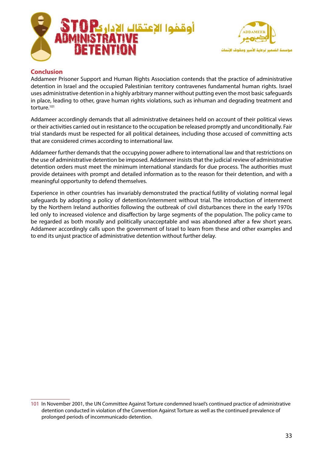



## **Conclusion**

Addameer Prisoner Support and Human Rights Association contends that the practice of administrative detention in Israel and the occupied Palestinian territory contravenes fundamental human rights. Israel uses administrative detention in a highly arbitrary manner without putting even the most basic safeguards in place, leading to other, grave human rights violations, such as inhuman and degrading treatment and torture.<sup>101</sup>

Addameer accordingly demands that all administrative detainees held on account of their political views or their activities carried out in resistance to the occupation be released promptly and unconditionally. Fair trial standards must be respected for all political detainees, including those accused of committing acts that are considered crimes according to international law.

Addameer further demands that the occupying power adhere to international law and that restrictions on the use of administrative detention be imposed. Addameer insists that the judicial review of administrative detention orders must meet the minimum international standards for due process. The authorities must provide detainees with prompt and detailed information as to the reason for their detention, and with a meaningful opportunity to defend themselves.

Experience in other countries has invariably demonstrated the practical futility of violating normal legal safeguards by adopting a policy of detention/internment without trial. The introduction of internment by the Northern Ireland authorities following the outbreak of civil disturbances there in the early 1970s led only to increased violence and disaffection by large segments of the population. The policy came to be regarded as both morally and politically unacceptable and was abandoned after a few short years. Addameer accordingly calls upon the government of Israel to learn from these and other examples and to end its unjust practice of administrative detention without further delay.

<sup>101</sup> In November 2001, the UN Committee Against Torture condemned Israel's continued practice of administrative detention conducted in violation of the Convention Against Torture as well as the continued prevalence of prolonged periods of incommunicado detention.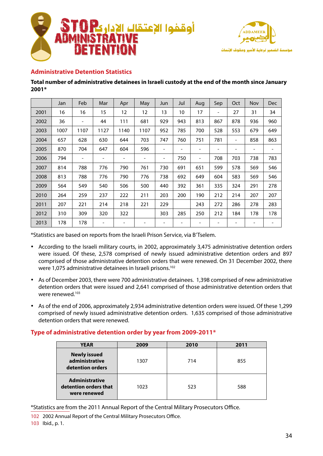



## **Administrative Detention Statistics**

#### **January since month the of end the at custody Israeli in detainees administrative of number Total \*2001**

|      | Jan  | Feb                          | Mar                      | Apr                      | May  | Jun                          | Jul                      | Aug                      | Sep                      | Oct                      | Nov             | <b>Dec</b> |
|------|------|------------------------------|--------------------------|--------------------------|------|------------------------------|--------------------------|--------------------------|--------------------------|--------------------------|-----------------|------------|
| 2001 | 16   | 16                           | 15                       | 12                       | 12   | 13                           | 10                       | 17                       | $\overline{\phantom{a}}$ | 27                       | 31              | 34         |
| 2002 | 36   | $\qquad \qquad \blacksquare$ | 44                       | 111                      | 681  | 929                          | 943                      | 813                      | 867                      | 878                      | 936             | 960        |
| 2003 | 1007 | 1107                         | 1127                     | 1140                     | 1107 | 952                          | 785                      | 700                      | 528                      | 553                      | 679             | 649        |
| 2004 | 657  | 628                          | 630                      | 644                      | 703  | 747                          | 760                      | 751                      | 781                      | $\overline{\phantom{a}}$ | 858             | 863        |
| 2005 | 870  | 704                          | 647                      | 604                      | 596  |                              | -                        | -                        | -                        | -                        | $\qquad \qquad$ |            |
| 2006 | 794  | $\qquad \qquad \blacksquare$ |                          |                          | -    | $\overline{\phantom{a}}$     | 750                      | $\overline{\phantom{a}}$ | 708                      | 703                      | 738             | 783        |
| 2007 | 814  | 788                          | 776                      | 790                      | 761  | 730                          | 691                      | 651                      | 599                      | 578                      | 569             | 546        |
| 2008 | 813  | 788                          | 776                      | 790                      | 776  | 738                          | 692                      | 649                      | 604                      | 583                      | 569             | 546        |
| 2009 | 564  | 549                          | 540                      | 506                      | 500  | 440                          | 392                      | 361                      | 335                      | 324                      | 291             | 278        |
| 2010 | 264  | 259                          | 237                      | 222                      | 211  | 203                          | 200                      | 190                      | 212                      | 214                      | 207             | 207        |
| 2011 | 207  | 221                          | 214                      | 218                      | 221  | 229                          |                          | 243                      | 272                      | 286                      | 278             | 283        |
| 2012 | 310  | 309                          | 320                      | 322                      |      | 303                          | 285                      | 250                      | 212                      | 184                      | 178             | 178        |
| 2013 | 178  | 178                          | $\overline{\phantom{m}}$ | $\overline{\phantom{a}}$ | -    | $\qquad \qquad \blacksquare$ | $\overline{\phantom{a}}$ | $\overline{\phantom{a}}$ | -                        | -                        | $\qquad \qquad$ |            |

\*Statistics are based on reports from the Israeli Prison Service, via B'Tselem.

- According to the Israeli military courts, in 2002, approximately 3,475 administrative detention orders were issued. Of these, 2,578 comprised of newly issued administrative detention orders and 897 comprised of those administrative detention orders that were renewed. On 31 December 2002, there were 1,075 administrative detainees in Israeli prisons.<sup>102</sup>
- As of December 2003, there were 700 administrative detainees. 1,398 comprised of new administrative detention orders that were issued and 2,641 comprised of those administrative detention orders that were renewed.<sup>103</sup>
- As of the end of 2006, approximately 2,934 administrative detention orders were issued. Of these 1,299 comprised of newly issued administrative detention orders. 1,635 comprised of those administrative detention orders that were renewed.

## Type of administrative detention order by year from 2009-2011<sup>\*</sup>

| <b>YEAR</b>                                                    | 2009 | 2010 | 2011 |
|----------------------------------------------------------------|------|------|------|
| <b>Newly issued</b><br>administrative<br>detention orders      | 1307 | 714  | 855  |
| <b>Administrative</b><br>detention orders that<br>were renewed | 1023 | 523  | 588  |

\*Statistics are from the 2011 Annual Report of the Central Military Prosecutors Office.

102 2002 Annual Report of the Central Military Prosecutors Office. 103 lbid., p. 1.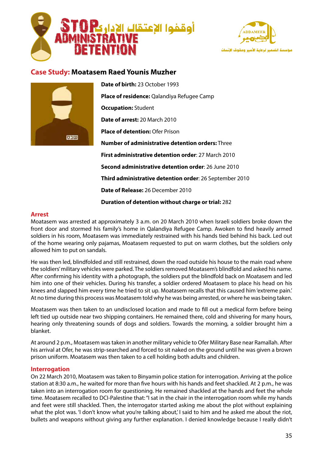



# **Case Study: Moatasem Raed Younis Muzher**



**Date of birth: 23 October 1993** Place of residence: Qalandiya Refugee Camp **Occupation: Student Date of arrest: 20 March 2010 Place of detention: Ofer Prison Number of administrative detention orders:** Three **First administrative detention order: 27 March 2010 Second administrative detention order: 26 June 2010 Third administrative detention order:** 26 September 2010 **Date of Release:** 26 December 2010

**Duration of detention without charge or trial: 282** 

#### **Arrest**

Moatasem was arrested at approximately 3 a.m. on 20 March 2010 when Israeli soldiers broke down the front door and stormed his family's home in Qalandiya Refugee Camp. Awoken to find heavily armed soldiers in his room, Moatasem was immediately restrained with his hands tied behind his back. Led out of the home wearing only pajamas, Moatasem requested to put on warm clothes, but the soldiers only allowed him to put on sandals.

He was then led, blindfolded and still restrained, down the road outside his house to the main road where the soldiers' military vehicles were parked. The soldiers removed Moatasem's blindfold and asked his name. After confirming his identity with a photograph, the soldiers put the blindfold back on Moatasem and led him into one of their vehicles. During his transfer, a soldier ordered Moatasem to place his head on his knees and slapped him every time he tried to sit up. Moatasem recalls that this caused him 'extreme pain.' At no time during this process was Moatasem told why he was being arrested, or where he was being taken.

Moatasem was then taken to an undisclosed location and made to fill out a medical form before being left tied up outside near two shipping containers. He remained there, cold and shivering for many hours, hearing only threatening sounds of dogs and soldiers. Towards the morning, a soldier brought him a .blanket

At around 2 p.m., Moatasem was taken in another military vehicle to Ofer Military Base near Ramallah. After his arrival at Ofer, he was strip-searched and forced to sit naked on the ground until he was given a brown prison uniform. Moatasem was then taken to a cell holding both adults and children.

#### **Interrogation**

On 22 March 2010. Moatasem was taken to Binyamin police station for interrogation. Arriving at the police station at 8:30 a.m., he waited for more than five hours with his hands and feet shackled. At 2 p.m., he was taken into an interrogation room for questioning. He remained shackled at the hands and feet the whole time. Moatasem recalled to DCI-Palestine that: "I sat in the chair in the interrogation room while my hands and feet were still shackled. Then, the interrogator started asking me about the plot without explaining what the plot was. 'I don't know what you're talking about,' I said to him and he asked me about the riot, bullets and weapons without giving any further explanation. I denied knowledge because I really didn't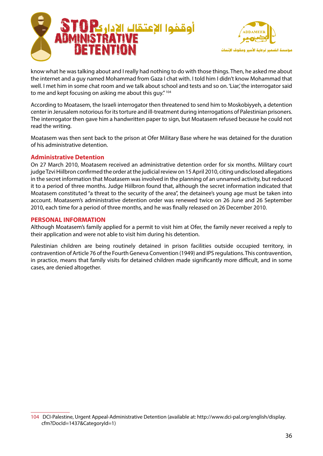



know what he was talking about and I really had nothing to do with those things. Then, he asked me about the internet and a guy named Mohammad from Gaza I chat with. I told him I didn't know Mohammad that well. I met him in some chat room and we talk about school and tests and so on. 'Liar,' the interrogator said to me and kept focusing on asking me about this guy." <sup>104</sup>

According to Moatasem, the Israeli interrogator then threatened to send him to Moskobiyyeh, a detention center in Jerusalem notorious for its torture and ill-treatment during interrogations of Palestinian prisoners. The interrogator then gave him a handwritten paper to sign, but Moatasem refused because he could not read the writing.

Moatasem was then sent back to the prison at Ofer Military Base where he was detained for the duration of his administrative detention.

#### **Administrative Detention**

On 27 March 2010, Moatasem received an administrative detention order for six months. Military court judge Tzvi Hiilbron confirmed the order at the judicial review on 15 April 2010, citing undisclosed allegations in the secret information that Moatasem was involved in the planning of an unnamed activity, but reduced it to a period of three months. Judge Hiilbron found that, although the secret information indicated that Moatasem constituted "a threat to the security of the area", the detainee's young age must be taken into account. Moatasem's administrative detention order was renewed twice on 26 June and 26 September 2010, each time for a period of three months, and he was finally released on 26 December 2010.

#### **PERSONAL INFORMATION**

Although Moatasem's family applied for a permit to visit him at Ofer, the family never received a reply to their application and were not able to visit him during his detention.

Palestinian children are being routinely detained in prison facilities outside occupied territory, in contravention of Article 76 of the Fourth Geneva Convention (1949) and IPS regulations. This contravention, in practice, means that family visits for detained children made significantly more difficult, and in some cases, are denied altogether.

<sup>104</sup> DCI-Palestine, Urgent Appeal-Administrative Detention (available at: http://www.dci-pal.org/english/display. cfm?DocId=1437&CategoryId=1)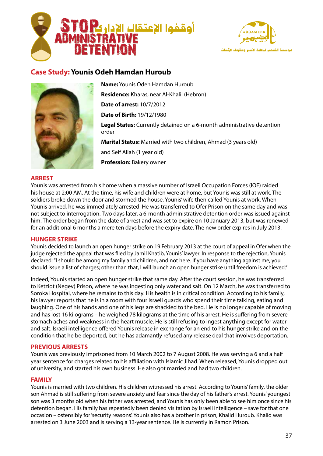



# **Case Study: Younis Odeh Hamdan Huroub**



Name: Younis Odeh Hamdan Huroub **Residence:** Kharas, near Al-Khalil (Hebron) **Date of arrest: 10/7/2012 Date of Birth: 19/12/1980** Legal Status: Currently detained on a 6-month administrative detention order Marital Status: Married with two children, Ahmad (3 years old) and Seif Allah (1 year old) **Profession:** Bakery owner

#### **ARREST**

Younis was arrested from his home when a massive number of Israeli Occupation Forces (IOF) raided his house at 2:00 AM. At the time, his wife and children were at home, but Younis was still at work. The soldiers broke down the door and stormed the house. Younis' wife then called Younis at work. When Younis arrived, he was immediately arrested. He was transferred to Ofer Prison on the same day and was not subject to interrogation. Two days later, a 6-month administrative detention order was issued against him. The order began from the date of arrest and was set to expire on 10 January 2013, but was renewed for an additional 6 months a mere ten days before the expiry date. The new order expires in July 2013.

#### **HUNGER STRIKE**

Younis decided to launch an open hunger strike on 19 February 2013 at the court of appeal in Ofer when the judge rejected the appeal that was filed by Jamil Khatib. Younis' lawyer. In response to the rejection, Younis declared: "I should be among my family and children, and not here. If you have anything against me, you should issue a list of charges; other than that, I will launch an open hunger strike until freedom is achieved."

Indeed, Younis started an open hunger strike that same day. After the court session, he was transferred to Ketziot (Negev) Prison, where he was ingesting only water and salt. On 12 March, he was transferred to Soroka Hospital, where he remains to this day. His health is in critical condition. According to his family, his lawyer reports that he is in a room with four Israeli quards who spend their time talking, eating and laughing. One of his hands and one of his legs are shackled to the bed. He is no longer capable of moving and has lost 16 kilograms – he weighed 78 kilograms at the time of his arrest. He is suffering from severe stomach aches and weakness in the heart muscle. He is still refusing to ingest anything except for water and salt. Israeli intelligence offered Younis release in exchange for an end to his hunger strike and on the condition that he be deported, but he has adamantly refused any release deal that involves deportation.

#### **PREVIOUS ARRESTS**

Younis was previously imprisoned from 10 March 2002 to 7 August 2008. He was serving a 6 and a half year sentence for charges related to his affiliation with Islamic Jihad. When released, Younis dropped out of university, and started his own business. He also got married and had two children.

#### **FAMILY**

Younis is married with two children. His children witnessed his arrest. According to Younis' family, the older son Ahmad is still suffering from severe anxiety and fear since the day of his father's arrest. Younis' youngest son was 3 months old when his father was arrested, and Younis has only been able to see him once since his detention began. His family has repeatedly been denied visitation by Israeli intelligence – save for that one occasion – ostensibly for 'security reasons'. Younis also has a brother in prison, Khalid Huroub. Khalid was arrested on 3 June 2003 and is serving a 13-year sentence. He is currently in Ramon Prison.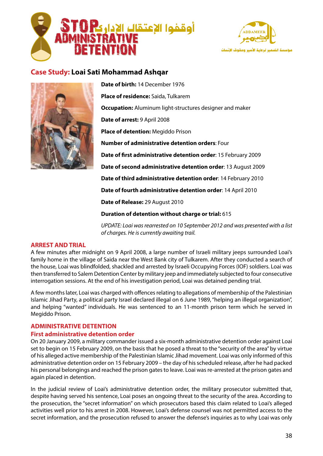



# **Case Study: Loai Sati Mohammad Ashqar**



**Date of birth: 14 December 1976** Place of residence: Saida, Tulkarem **Occupation:** Aluminum light-structures designer and maker **Date of arrest: 9 April 2008** Place of detention: Megiddo Prison **Number of administrative detention orders: Four Date of first administrative detention order:** 15 February 2009 Date of second administrative detention order: 13 August 2009 Date of third administrative detention order: 14 February 2010 Date of fourth administrative detention order: 14 April 2010

**Date of Release: 29 August 2010** 

**Duration of detention without charge or trial: 615** 

*UPDATE: Loai was rearrested on 10 September 2012 and was presented with a list of charges. He is currently awaiting trail.* 

## **ARREST AND TRIAL**

A few minutes after midnight on 9 April 2008, a large number of Israeli military jeeps surrounded Loai's family home in the village of Saida near the West Bank city of Tulkarem. After they conducted a search of the house, Loai was blindfolded, shackled and arrested by Israeli Occupying Forces (IOF) soldiers. Loai was then transferred to Salem Detention Center by military jeep and immediately subjected to four consecutive interrogation sessions. At the end of his investigation period, Loai was detained pending trial.

A few months later, Loai was charged with offences relating to allegations of membership of the Palestinian Islamic Jihad Party, a political party Israel declared illegal on 6 June 1989, "helping an illegal organization", and helping "wanted" individuals. He was sentenced to an 11-month prison term which he served in Megiddo Prison.

#### **ADMINISTRATIVE DETENTION**

#### **First administrative detention order**

On 20 January 2009, a military commander issued a six-month administrative detention order against Loai set to begin on 15 February 2009, on the basis that he posed a threat to the "security of the area" by virtue of his alleged active membership of the Palestinian Islamic Jihad movement. Loai was only informed of this administrative detention order on 15 February 2009 – the day of his scheduled release, after he had packed his personal belongings and reached the prison gates to leave. Loai was re-arrested at the prison gates and again placed in detention.

In the judicial review of Loai's administrative detention order, the military prosecutor submitted that, despite having served his sentence, Loai poses an ongoing threat to the security of the area. According to the prosecution, the "secret information" on which prosecutors based this claim related to Loai's alleged activities well prior to his arrest in 2008. However, Loai's defense counsel was not permitted access to the secret information, and the prosecution refused to answer the defense's inquiries as to why Loai was only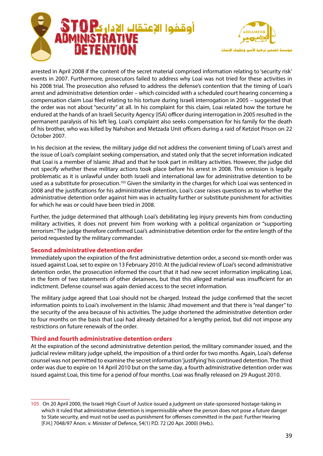



arrested in April 2008 if the content of the secret material comprised information relating to 'security risk' events in 2007. Furthermore, prosecutors failed to address why Loai was not tried for these activities in his 2008 trial. The prosecution also refused to address the defense's contention that the timing of Loai's arrest and administrative detention order – which coincided with a scheduled court hearing concerning a compensation claim Loai filed relating to his torture during Israeli interrogation in 2005 – suggested that the order was not about "security" at all. In his complaint for this claim, Loai related how the torture he endured at the hands of an Israeli Security Agency (ISA) officer during interrogation in 2005 resulted in the permanent paralysis of his left leg. Loai's complaint also seeks compensation for his family for the death of his brother, who was killed by Nahshon and Metzada Unit officers during a raid of Ketziot Prison on 22 2007. October

In his decision at the review, the military judge did not address the convenient timing of Loai's arrest and the issue of Loai's complaint seeking compensation, and stated only that the secret information indicated that Loai is a member of Islamic Jihad and that he took part in military activities. However, the judge did not specify whether these military actions took place before his arrest in 2008. This omission is legally problematic as it is unlawful under both Israeli and international law for administrative detention to be used as a substitute for prosecution.<sup>105</sup> Given the similarity in the charges for which Loai was sentenced in 2008 and the justifications for his administrative detention, Loai's case raises questions as to whether the administrative detention order against him was in actuality further or substitute punishment for activities for which he was or could have been tried in 2008.

Further, the judge determined that although Loai's debilitating leg injury prevents him from conducting military activities, it does not prevent him from working with a political organization or "supporting terrorism." The judge therefore confirmed Loai's administrative detention order for the entire length of the period requested by the military commander.

## **Second administrative detention order**

Immediately upon the expiration of the first administrative detention order, a second six-month order was issued against Loai, set to expire on 13 February 2010. At the judicial review of Loai's second administrative detention order, the prosecution informed the court that it had new secret information implicating Loai, in the form of two statements of other detainees, but that this alleged material was insufficient for an indictment. Defense counsel was again denied access to the secret information.

The military judge agreed that Loai should not be charged. Instead the judge confirmed that the secret information points to Loai's involvement in the Islamic Jihad movement and that there is "real danger" to the security of the area because of his activities. The judge shortened the administrative detention order to four months on the basis that Loai had already detained for a lengthy period, but did not impose any restrictions on future renewals of the order.

## **Third and fourth administrative detention orders**

At the expiration of the second administrative detention period, the military commander issued, and the judicial review military judge upheld, the imposition of a third order for two months. Again, Loai's defense counsel was not permitted to examine the secret information 'justifying' his continued detention. The third order was due to expire on 14 April 2010 but on the same day, a fourth administrative detention order was issued against Loai, this time for a period of four months. Loai was finally released on 29 August 2010.

<sup>105</sup> On 20 April 2000, the Israeli High Court of Justice issued a judgment on state-sponsored hostage-taking in which it ruled that administrative detention is impermissible where the person does not pose a future danger to State security, and must not be used as punishment for offenses committed in the past: Further Hearing [F.H.] 7048/97 Anon. v. Minister of Defence, 54(1) P.D. 72 (20 Apr. 2000) (Heb.).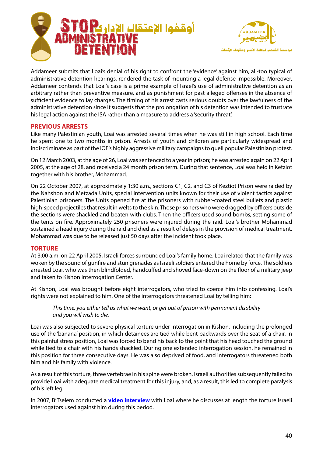



Addameer submits that Loai's denial of his right to confront the 'evidence' against him, all-too typical of administrative detention hearings, rendered the task of mounting a legal defense impossible. Moreover, Addameer contends that Loai's case is a prime example of Israel's use of administrative detention as an arbitrary rather than preventive measure, and as punishment for past alleged offenses in the absence of sufficient evidence to lay charges. The timing of his arrest casts serious doubts over the lawfulness of the administrative detention since it suggests that the prolongation of his detention was intended to frustrate his legal action against the ISA rather than a measure to address a 'security threat'.

## **PREVIOUS ARRESTS**

Like many Palestinian youth, Loai was arrested several times when he was still in high school. Each time he spent one to two months in prison. Arrests of youth and children are particularly widespread and indiscriminate as part of the IOF's highly aggressive military campaigns to quell popular Palestinian protest.

On 12 March 2003, at the age of 26, Loai was sentenced to a year in prison; he was arrested again on 22 April 2005, at the age of 28, and received a 24 month prison term. During that sentence, Loai was held in Ketziot together with his brother, Mohammad.

On 22 October 2007, at approximately 1:30 a.m., sections C1, C2, and C3 of Keztiot Prison were raided by the Nahshon and Metzada Units, special intervention units known for their use of violent tactics against Palestinian prisoners. The Units opened fire at the prisoners with rubber-coated steel bullets and plastic high-speed projectiles that result in welts to the skin. Those prisoners who were dragged by officers outside the sections were shackled and beaten with clubs. Then the officers used sound bombs, setting some of the tents on fire. Approximately 250 prisoners were injured during the raid. Loai's brother Mohammad sustained a head injury during the raid and died as a result of delays in the provision of medical treatment. Mohammad was due to be released just 50 days after the incident took place.

#### **TORTURE**

At 3:00 a.m. on 22 April 2005, Israeli forces surrounded Loai's family home. Loai related that the family was woken by the sound of qunfire and stun grenades as Israeli soldiers entered the home by force. The soldiers arrested Loai, who was then blindfolded, handcuffed and shoved face-down on the floor of a military jeep and taken to Kishon Interrogation Center.

At Kishon, Loai was brought before eight interrogators, who tried to coerce him into confessing. Loai's rights were not explained to him. One of the interrogators threatened Loai by telling him:

*This time, you either tell us what we want, or get out of prison with permanent disability* and you will wish to die.

Loai was also subjected to severe physical torture under interrogation in Kishon, including the prolonged use of the 'banana' position, in which detainees are tied while bent backwards over the seat of a chair. In this painful stress position, Loai was forced to bend his back to the point that his head touched the ground while tied to a chair with his hands shackled. During one extended interrogation session, he remained in this position for three consecutive days. He was also deprived of food, and interrogators threatened both him and his family with violence.

As a result of this torture, three vertebrae in his spine were broken. Israeli authorities subsequently failed to provide Loai with adequate medical treatment for this injury, and, as a result, this led to complete paralysis of his left leg.

In 2007, B'Tselem conducted a **video interview** with Loai where he discusses at length the torture Israeli interrogators used against him during this period.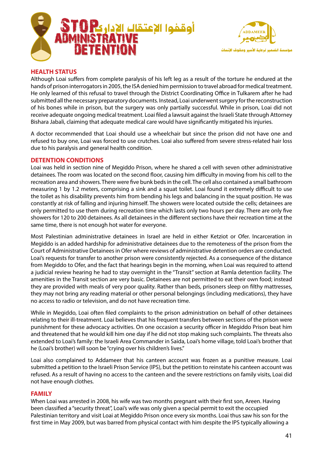



## **HEALTH STATUS**

Although Loai suffers from complete paralysis of his left leg as a result of the torture he endured at the hands of prison interrogators in 2005, the ISA denied him permission to travel abroad for medical treatment. He only learned of this refusal to travel through the District Coordinating Office in Tulkarem after he had submitted all the necessary preparatory documents. Instead, Loai underwent surgery for the reconstruction of his bones while in prison, but the surgery was only partially successful. While in prison, Loai did not receive adequate ongoing medical treatment. Loai filed a lawsuit against the Israeli State through Attorney Bishara Jabali, claiming that adequate medical care would have significantly mitigated his injuries.

A doctor recommended that Loai should use a wheelchair but since the prison did not have one and refused to buy one, Loai was forced to use crutches. Loai also suffered from severe stress-related hair loss due to his paralysis and general health condition.

#### **DETENTION CONDITIONS**

Loai was held in section nine of Megiddo Prison, where he shared a cell with seven other administrative detainees. The room was located on the second floor, causing him difficulty in moving from his cell to the recreation area and showers. There were five bunk beds in the cell. The cell also contained a small bathroom measuring 1 by 1.2 meters, comprising a sink and a squat toilet. Loai found it extremely difficult to use the toilet as his disability prevents him from bending his legs and balancing in the squat position. He was constantly at risk of falling and injuring himself. The showers were located outside the cells; detainees are only permitted to use them during recreation time which lasts only two hours per day. There are only five showers for 120 to 200 detainees. As all detainees in the different sections have their recreation time at the same time, there is not enough hot water for everyone.

Most Palestinian administrative detainees in Israel are held in either Ketziot or Ofer. Incarceration in Megiddo is an added hardship for administrative detainees due to the remoteness of the prison from the Court of Administrative Detainees in Ofer where reviews of administrative detention orders are conducted. Loai's requests for transfer to another prison were consistently rejected. As a consequence of the distance from Megiddo to Ofer, and the fact that hearings begin in the morning, when Loai was required to attend a judicial review hearing he had to stay overnight in the "Transit" section at Ramla detention facility. The amenities in the Transit section are very basic. Detainees are not permitted to eat their own food; instead they are provided with meals of very poor quality. Rather than beds, prisoners sleep on filthy mattresses, they may not bring any reading material or other personal belongings (including medications), they have no access to radio or television, and do not have recreation time.

While in Megiddo, Loai often filed complaints to the prison administration on behalf of other detainees relating to their ill-treatment. Loai believes that his frequent transfers between sections of the prison were punishment for these advocacy activities. On one occasion a security officer in Megiddo Prison beat him and threatened that he would kill him one day if he did not stop making such complaints. The threats also extended to Loai's family: the Israeli Area Commander in Saida, Loai's home village, told Loai's brother that he (Loai's brother) will soon be "crying over his children's lives."

Loai also complained to Addameer that his canteen account was frozen as a punitive measure. Loai submitted a petition to the Israeli Prison Service (IPS), but the petition to reinstate his canteen account was refused. As a result of having no access to the canteen and the severe restrictions on family visits, Loai did not have enough clothes.

#### **FAMILY**

When Loai was arrested in 2008, his wife was two months pregnant with their first son, Areen. Having been classified a "security threat", Loai's wife was only given a special permit to exit the occupied Palestinian territory and visit Loai at Megiddo Prison once every six months. Loai thus saw his son for the first time in May 2009, but was barred from physical contact with him despite the IPS typically allowing a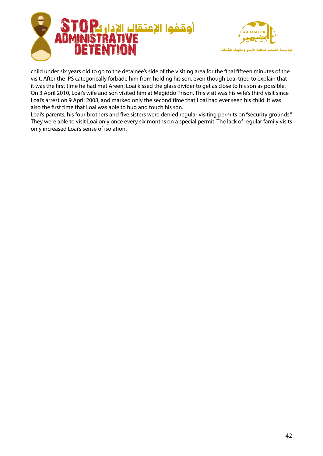



child under six years old to go to the detainee's side of the visiting area for the final fifteen minutes of the visit. After the IPS categorically forbade him from holding his son, even though Loai tried to explain that it was the first time he had met Areen, Loai kissed the glass divider to get as close to his son as possible. On 3 April 2010, Loai's wife and son visited him at Megiddo Prison. This visit was his wife's third visit since Loai's arrest on 9 April 2008, and marked only the second time that Loai had ever seen his child. It was also the first time that Loai was able to hug and touch his son.

Loai's parents, his four brothers and five sisters were denied regular visiting permits on "security grounds." They were able to visit Loai only once every six months on a special permit. The lack of regular family visits only increased Loai's sense of isolation.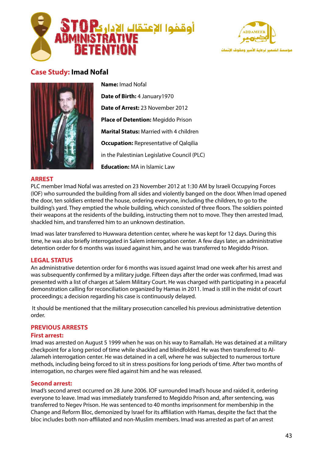



# **Case Study: Imad Nofal**



**Name: Imad Nofal Date of Birth: 4 January 1970 Date of Arrest: 23 November 2012 Place of Detention: Megiddo Prison Marital Status: Married with 4 children Occupation:** Representative of Qalqilia in the Palestinian Legislative Council (PLC) **Education:** MA in Islamic Law

#### **ARREST**

PLC member Imad Nofal was arrested on 23 November 2012 at 1:30 AM by Israeli Occupying Forces (IOF) who surrounded the building from all sides and violently banged on the door. When Imad opened the door, ten soldiers entered the house, ordering everyone, including the children, to go to the building's yard. They emptied the whole building, which consisted of three floors. The soldiers pointed their weapons at the residents of the building, instructing them not to move. They then arrested Imad, shackled him, and transferred him to an unknown destination.

Imad was later transferred to Huwwara detention center, where he was kept for 12 days. During this time, he was also briefly interrogated in Salem interrogation center. A few days later, an administrative detention order for 6 months was issued against him, and he was transferred to Megiddo Prison.

#### **LEGAL STATUS**

An administrative detention order for 6 months was issued against Imad one week after his arrest and was subsequently confirmed by a military judge. Fifteen days after the order was confirmed, Imad was presented with a list of charges at Salem Military Court. He was charged with participating in a peaceful demonstration calling for reconciliation organized by Hamas in 2011. Imad is still in the midst of court proceedings; a decision regarding his case is continuously delayed.

It should be mentioned that the military prosecution cancelled his previous administrative detention .order

## **PREVIOUS ARRESTS**

#### **First arrest:**

Imad was arrested on August 5 1999 when he was on his way to Ramallah. He was detained at a military checkpoint for a long period of time while shackled and blindfolded. He was then transferred to Al-<br>Jalameh interrogation center. He was detained in a cell, where he was subjected to numerous torture methods, including being forced to sit in stress positions for long periods of time. After two months of interrogation, no charges were filed against him and he was released.

#### **Second** arrest:

Imad's second arrest occurred on 28 June 2006. IOF surrounded Imad's house and raided it, ordering everyone to leave. Imad was immediately transferred to Megiddo Prison and, after sentencing, was transferred to Negev Prison. He was sentenced to 40 months imprisonment for membership in the Change and Reform Bloc, demonized by Israel for its affiliation with Hamas, despite the fact that the bloc includes both non-affiliated and non-Muslim members. Imad was arrested as part of an arrest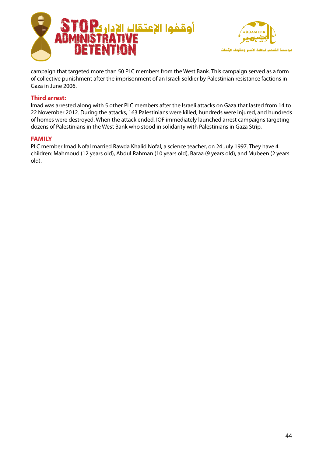



campaign that targeted more than 50 PLC members from the West Bank. This campaign served as a form of collective punishment after the imprisonment of an Israeli soldier by Palestinian resistance factions in Gaza in June 2006.

## **Third arrest:**

Imad was arrested along with 5 other PLC members after the Israeli attacks on Gaza that lasted from 14 to 22 November 2012. During the attacks, 163 Palestinians were killed, hundreds were injured, and hundreds of homes were destroyed. When the attack ended, IOF immediately launched arrest campaigns targeting dozens of Palestinians in the West Bank who stood in solidarity with Palestinians in Gaza Strip.

## **FAMILY**

PLC member Imad Nofal married Rawda Khalid Nofal, a science teacher, on 24 July 1997. They have 4 children: Mahmoud (12 years old), Abdul Rahman (10 years old), Baraa (9 years old), and Mubeen (2 years old).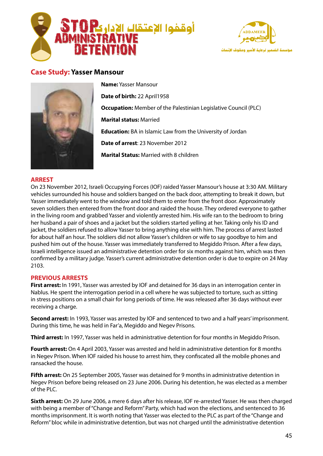



# **Case Study: Yasser Mansour**



**Name: Yasser Mansour Date of birth: 22 April 1958 Occupation:** Member of the Palestinian Legislative Council (PLC) **Marital status: Married Education:** BA in Islamic Law from the University of Jordan **Date of arrest: 23 November 2012 Marital Status: Married with 8 children** 

#### **ARREST**

On 23 November 2012, Israeli Occupying Forces (IOF) raided Yasser Mansour's house at 3:30 AM. Military vehicles surrounded his house and soldiers banged on the back door, attempting to break it down, but Yasser immediately went to the window and told them to enter from the front door. Approximately seven soldiers then entered from the front door and raided the house. They ordered everyone to gather in the living room and grabbed Yasser and violently arrested him. His wife ran to the bedroom to bring her husband a pair of shoes and a jacket but the soldiers started yelling at her. Taking only his ID and jacket, the soldiers refused to allow Yasser to bring anything else with him. The process of arrest lasted for about half an hour. The soldiers did not allow Yasser's children or wife to say goodbye to him and pushed him out of the house. Yasser was immediately transferred to Megiddo Prison. After a few days, Israeli intelligence issued an administrative detention order for six months against him, which was then confirmed by a military judge. Yasser's current administrative detention order is due to expire on 24 May 2103.

#### **PREVIOUS ARRESTS**

First arrest: In 1991, Yasser was arrested by IOF and detained for 36 days in an interrogation center in Nablus. He spent the interrogation period in a cell where he was subjected to torture, such as sitting in stress positions on a small chair for long periods of time. He was released after 36 days without ever receiving a charge.

Second arrest: In 1993, Yasser was arrested by IOF and sentenced to two and a half years' imprisonment. During this time, he was held in Far'a, Megiddo and Negev Prisons.

Third arrest: In 1997, Yasser was held in administrative detention for four months in Megiddo Prison.

Fourth arrest: On 4 April 2003, Yasser was arrested and held in administrative detention for 8 months in Negev Prison. When IOF raided his house to arrest him, they confiscated all the mobile phones and ransacked the house.

Fifth arrest: On 25 September 2005, Yasser was detained for 9 months in administrative detention in Negev Prison before being released on 23 June 2006. During his detention, he was elected as a member  $of$  the PLC.

**Sixth arrest:** On 29 June 2006, a mere 6 days after his release, IOF re-arrested Yasser. He was then charged with being a member of "Change and Reform" Party, which had won the elections, and sentenced to 36 months imprisonment. It is worth noting that Yasser was elected to the PLC as part of the "Change and Reform" bloc while in administrative detention, but was not charged until the administrative detention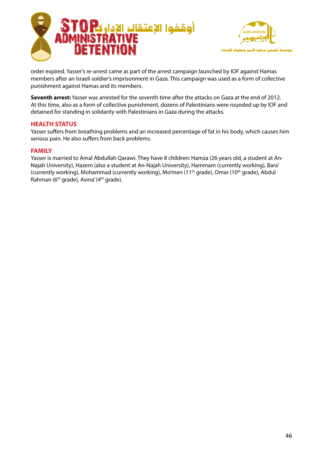



order expired. Yasser's re-arrest came as part of the arrest campaign launched by IOF against Hamas members after an Israeli soldier's imprisonment in Gaza. This campaign was used as a form of collective punishment against Hamas and its members.

**Seventh arrest:** Yasser was arrested for the seventh time after the attacks on Gaza at the end of 2012. At this time, also as a form of collective punishment, dozens of Palestinians were rounded up by IOF and detained for standing in solidarity with Palestinians in Gaza during the attacks.

#### **HEALTH STATUS**

Yasser suffers from breathing problems and an increased percentage of fat in his body, which causes him serious pain. He also suffers from back problems.

#### **FAMILY**

Najah University), Hazem (also a student at An-Najah University), Hammam (currently working), Bara' Yasser is married to Amal Abdullah Qarawi. They have 8 children: Hamza (26 years old, a student at An-(currently working), Mohammad (currently working), Mo'men (11<sup>th</sup> grade), Omar (10<sup>th</sup> grade), Abdul Rahman (6<sup>th</sup> grade), Asma' (4<sup>th</sup> grade).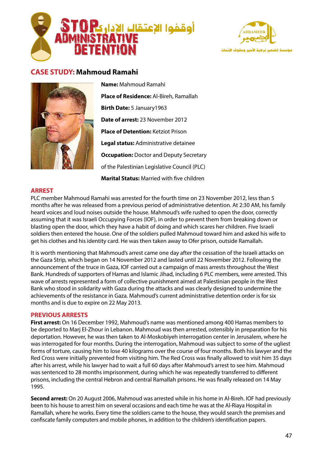



# **CASE STUDY: Mahmoud Ramahi**



**Name: Mahmoud Ramahi Place of Residence:** Al-Bireh, Ramallah Birth Date: 5 January 1963 **Date of arrest:** 23 November 2012 **Place of Detention:** Ketziot Prison **Legal status:** Administrative detainee **Occupation:** Doctor and Deputy Secretary of the Palestinian Legislative Council (PLC) **Marital Status:** Married with five children

#### **ARREST**

PLC member Mahmoud Ramahi was arrested for the fourth time on 23 November 2012, less than 5 months after he was released from a previous period of administrative detention. At 2:30 AM, his family heard voices and loud noises outside the house. Mahmoud's wife rushed to open the door, correctly assuming that it was Israeli Occupying Forces (IOF), in order to prevent them from breaking down or blasting open the door, which they have a habit of doing and which scares her children. Five Israeli soldiers then entered the house. One of the soldiers pulled Mahmoud toward him and asked his wife to get his clothes and his identity card. He was then taken away to Ofer prison, outside Ramallah.

It is worth mentioning that Mahmoud's arrest came one day after the cessation of the Israeli attacks on the Gaza Strip, which began on 14 November 2012 and lasted until 22 November 2012. Following the announcement of the truce in Gaza, IOF carried out a campaign of mass arrests throughout the West Bank. Hundreds of supporters of Hamas and Islamic Jihad, including 6 PLC members, were arrested. This wave of arrests represented a form of collective punishment aimed at Palestinian people in the West Bank who stood in solidarity with Gaza during the attacks and was clearly designed to undermine the achievements of the resistance in Gaza. Mahmoud's current administrative detention order is for six months and is due to expire on 22 May 2013.

#### **PREVIOUS ARRESTS**

First arrest: On 16 December 1992, Mahmoud's name was mentioned among 400 Hamas members to be deported to Mari El-Zhour in Lebanon. Mahmoud was then arrested, ostensibly in preparation for his deportation. However, he was then taken to Al-Moskobiyeh interrogation center in Jerusalem, where he was interrogated for four months. During the interrogation, Mahmoud was subject to some of the ugliest forms of torture, causing him to lose 40 kilograms over the course of four months. Both his lawyer and the Red Cross were initially prevented from visiting him. The Red Cross was finally allowed to visit him 35 days after his arrest, while his lawyer had to wait a full 60 days after Mahmoud's arrest to see him. Mahmoud was sentenced to 28 months imprisonment, during which he was repeatedly transferred to different prisons, including the central Hebron and central Ramallah prisons. He was finally released on 14 May 1995.

**Second arrest:** On 20 August 2006, Mahmoud was arrested while in his home in Al-Bireh. IOF had previously been to his house to arrest him on several occasions and each time he was at the Al-Riaya Hospital in Ramallah, where he works. Every time the soldiers came to the house, they would search the premises and confiscate family computers and mobile phones, in addition to the children's identification papers.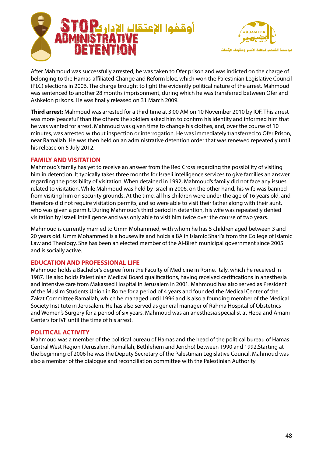



After Mahmoud was successfully arrested, he was taken to Ofer prison and was indicted on the charge of belonging to the Hamas-affiliated Change and Reform bloc, which won the Palestinian Legislative Council (PLC) elections in 2006. The charge brought to light the evidently political nature of the arrest. Mahmoud was sentenced to another 28 months imprisonment, during which he was transferred between Ofer and Ashkelon prisons. He was finally released on 31 March 2009.

**Third arrest:** Mahmoud was arrested for a third time at 3:00 AM on 10 November 2010 by IOF. This arrest was more 'peaceful' than the others: the soldiers asked him to confirm his identity and informed him that he was wanted for arrest. Mahmoud was given time to change his clothes, and, over the course of 10 minutes, was arrested without inspection or interrogation. He was immediately transferred to Ofer Prison, near Ramallah. He was then held on an administrative detention order that was renewed repeatedly until his release on 5 July 2012.

## **FAMILY AND VISITATION**

Mahmoud's family has yet to receive an answer from the Red Cross regarding the possibility of visiting him in detention. It typically takes three months for Israeli intelligence services to give families an answer regarding the possibility of visitation. When detained in 1992, Mahmoud's family did not face any issues related to visitation. While Mahmoud was held by Israel in 2006, on the other hand, his wife was banned from visiting him on security grounds. At the time, all his children were under the age of 16 years old, and therefore did not require visitation permits, and so were able to visit their father along with their aunt, who was given a permit. During Mahmoud's third period in detention, his wife was repeatedly denied visitation by Israeli intelligence and was only able to visit him twice over the course of two years.

Mahmoud is currently married to Umm Mohammed, with whom he has 5 children aged between 3 and 20 years old. Umm Mohammed is a housewife and holds a BA in Islamic Shari'a from the College of Islamic Law and Theology. She has been an elected member of the Al-Bireh municipal government since 2005 and is socially active.

## **LEDUCATION AND PROFESSIONAL LIFE**

Mahmoud holds a Bachelor's degree from the Faculty of Medicine in Rome, Italy, which he received in 1987. He also holds Palestinian Medical Board qualifications, having received certifications in anesthesia and intensive care from Makassed Hospital in Jerusalem in 2001. Mahmoud has also served as President of the Muslim Students Union in Rome for a period of 4 years and founded the Medical Center of the Zakat Committee Ramallah, which he managed until 1996 and is also a founding member of the Medical Society Institute in Jerusalem. He has also served as general manager of Rahma Hospital of Obstetrics and Women's Surgery for a period of six years. Mahmoud was an anesthesia specialist at Heba and Amani Centers for IVF until the time of his arrest.

#### **POLITICAL ACTIVITY**

Mahmoud was a member of the political bureau of Hamas and the head of the political bureau of Hamas Central West Region (Jerusalem, Ramallah, Bethlehem and Jericho) between 1990 and 1992. Starting at the beginning of 2006 he was the Deputy Secretary of the Palestinian Legislative Council. Mahmoud was also a member of the dialogue and reconciliation committee with the Palestinian Authority.